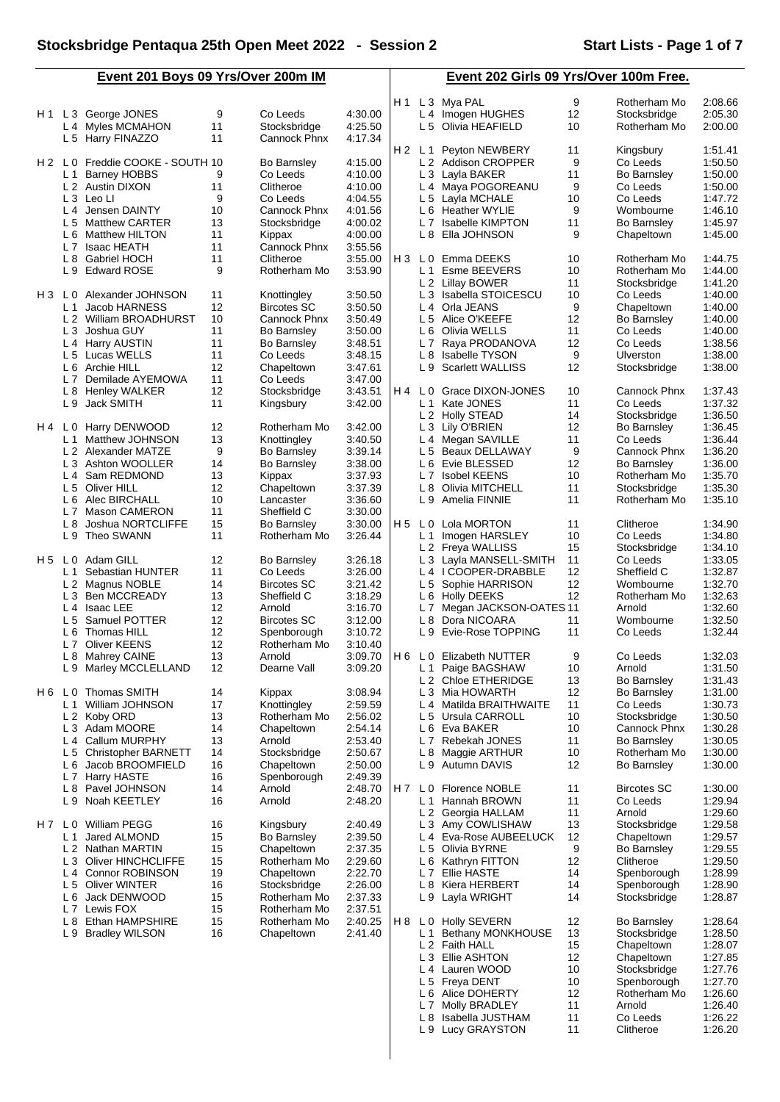**Event 201 Boys 09 Yrs/Over 200m IM**

**Event 202 Girls 09 Yrs/Over 100m Free.**

L 8 Isabella JUSTHAM 11 Co Leeds 1:26.22 L 9 Lucy GRAYSTON 11 Clitheroe 1:26.20

|                |                |                              |    |                    |         | H 1   |                | L 3 Mya PAL             | 9  | Rotherham Mo       | 2:08.66 |
|----------------|----------------|------------------------------|----|--------------------|---------|-------|----------------|-------------------------|----|--------------------|---------|
| H 1            |                | L 3 George JONES             | 9  | Co Leeds           | 4:30.00 |       |                | L 4 Imogen HUGHES       | 12 | Stocksbridge       | 2:05.30 |
|                |                | L 4 Myles MCMAHON            | 11 | Stocksbridge       | 4:25.50 |       | L <sub>5</sub> | Olivia HEAFIELD         | 10 | Rotherham Mo       | 2:00.00 |
|                |                | L 5 Harry FINAZZO            | 11 | Cannock Phnx       | 4:17.34 |       |                |                         |    |                    |         |
|                |                |                              |    |                    |         | H2 L1 |                | Peyton NEWBERY          | 11 | Kingsbury          | 1:51.41 |
| $H2$ LO        |                | Freddie COOKE - SOUTH 10     |    | <b>Bo Barnsley</b> | 4:15.00 |       |                | L 2 Addison CROPPER     | 9  | Co Leeds           | 1:50.50 |
|                | L <sub>1</sub> | <b>Barney HOBBS</b>          | 9  | Co Leeds           | 4:10.00 |       |                | L 3 Layla BAKER         | 11 | Bo Barnsley        | 1:50.00 |
|                |                | L 2 Austin DIXON             | 11 | Clitheroe          | 4:10.00 |       |                | L 4 Maya POGOREANU      | 9  | Co Leeds           | 1:50.00 |
|                |                | L 3 Leo LI                   | 9  | Co Leeds           | 4:04.55 |       |                | L 5 Layla MCHALE        | 10 | Co Leeds           | 1:47.72 |
|                |                | L <sub>4</sub> Jensen DAINTY | 10 | Cannock Phnx       | 4:01.56 |       |                | L 6 Heather WYLIE       | 9  | Wombourne          | 1:46.10 |
|                |                | L 5 Matthew CARTER           | 13 | Stocksbridge       | 4:00.02 |       | L <sub>7</sub> | Isabelle KIMPTON        | 11 | <b>Bo Barnsley</b> | 1:45.97 |
|                | L 6            | Matthew HILTON               | 11 | Kippax             | 4:00.00 |       |                | L 8 Ella JOHNSON        | 9  | Chapeltown         | 1:45.00 |
|                | L7             | Isaac HEATH                  | 11 | Cannock Phnx       | 3:55.56 |       |                |                         |    |                    |         |
|                | L <sub>8</sub> | <b>Gabriel HOCH</b>          | 11 | Clitheroe          | 3:55.00 | $H_3$ | L 0            | Emma DEEKS              | 10 | Rotherham Mo       | 1:44.75 |
|                | L <sub>9</sub> | <b>Edward ROSE</b>           | 9  |                    | 3:53.90 |       | L <sub>1</sub> | Esme BEEVERS            | 10 |                    |         |
|                |                |                              |    | Rotherham Mo       |         |       |                | L 2 Lillay BOWER        | 11 | Rotherham Mo       | 1:44.00 |
|                |                |                              |    |                    |         |       |                |                         | 10 | Stocksbridge       | 1:41.20 |
| H <sub>3</sub> | L 0            | Alexander JOHNSON            | 11 | Knottingley        | 3:50.50 |       | L <sub>3</sub> | Isabella STOICESCU      |    | Co Leeds           | 1:40.00 |
|                | L <sub>1</sub> | Jacob HARNESS                | 12 | <b>Bircotes SC</b> | 3:50.50 |       |                | L 4 Orla JEANS          | 9  | Chapeltown         | 1:40.00 |
|                |                | L 2 William BROADHURST       | 10 | Cannock Phnx       | 3:50.49 |       | L <sub>5</sub> | Alice O'KEEFE           | 12 | <b>Bo Barnsley</b> | 1:40.00 |
|                | L <sub>3</sub> | Joshua GUY                   | 11 | <b>Bo Barnsley</b> | 3:50.00 |       | L 6            | Olivia WELLS            | 11 | Co Leeds           | 1:40.00 |
|                |                | L 4 Harry AUSTIN             | 11 | <b>Bo Barnsley</b> | 3:48.51 |       | L 7            | Raya PRODANOVA          | 12 | Co Leeds           | 1:38.56 |
|                |                | L 5 Lucas WELLS              | 11 | Co Leeds           | 3:48.15 |       | L 8            | <b>Isabelle TYSON</b>   | 9  | Ulverston          | 1:38.00 |
|                |                | L 6 Archie HILL              | 12 | Chapeltown         | 3:47.61 |       | L 9            | <b>Scarlett WALLISS</b> | 12 | Stocksbridge       | 1:38.00 |
|                | L <sub>7</sub> | Demilade AYEMOWA             | 11 | Co Leeds           | 3:47.00 |       |                |                         |    |                    |         |
|                | L 8            | <b>Henley WALKER</b>         | 12 | Stocksbridge       | 3:43.51 | H 4   | L 0            | Grace DIXON-JONES       | 10 | Cannock Phnx       | 1:37.43 |
|                |                | L 9 Jack SMITH               | 11 | Kingsbury          | 3:42.00 |       | L <sub>1</sub> | Kate JONES              | 11 | Co Leeds           | 1:37.32 |
|                |                |                              |    |                    |         |       |                | L 2 Holly STEAD         | 14 | Stocksbridge       | 1:36.50 |
|                | H4 L0          | Harry DENWOOD                | 12 | Rotherham Mo       | 3:42.00 |       | L3             | Lily O'BRIEN            | 12 | <b>Bo Barnsley</b> | 1:36.45 |
|                | L <sub>1</sub> | Matthew JOHNSON              | 13 | Knottingley        | 3:40.50 |       |                | L 4 Megan SAVILLE       | 11 | Co Leeds           | 1:36.44 |
|                |                | L 2 Alexander MATZE          | 9  | <b>Bo Barnsley</b> | 3:39.14 |       |                | L 5 Beaux DELLAWAY      | 9  | Cannock Phnx       | 1:36.20 |
|                |                | L 3 Ashton WOOLLER           | 14 | <b>Bo Barnsley</b> | 3:38.00 |       | L 6            | Evie BLESSED            | 12 | <b>Bo Barnsley</b> | 1:36.00 |
|                | $L_4$          | Sam REDMOND                  | 13 | Kippax             | 3:37.93 |       | L <sub>7</sub> | <b>Isobel KEENS</b>     | 10 | Rotherham Mo       | 1:35.70 |
|                |                | L 5 Oliver HILL              | 12 | Chapeltown         | 3:37.39 |       | L <sub>8</sub> | Olivia MITCHELL         | 11 | Stocksbridge       | 1:35.30 |
|                | L 6            | Alec BIRCHALL                | 10 | Lancaster          | 3:36.60 |       | L 9            | Amelia FINNIE           | 11 | Rotherham Mo       | 1:35.10 |
|                |                |                              |    |                    |         |       |                |                         |    |                    |         |
|                | L <sub>7</sub> | Mason CAMERON                | 11 | Sheffield C        | 3:30.00 |       |                |                         |    |                    |         |
|                | L <sub>8</sub> | Joshua NORTCLIFFE            | 15 | <b>Bo Barnsley</b> | 3:30.00 | H 5   | L <sub>0</sub> | Lola MORTON             | 11 | Clitheroe          | 1:34.90 |
|                |                | L 9 Theo SWANN               | 11 | Rotherham Mo       | 3:26.44 |       | L <sub>1</sub> | Imogen HARSLEY          | 10 | Co Leeds           | 1:34.80 |
|                |                |                              |    |                    |         |       |                | L 2 Freya WALLISS       | 15 | Stocksbridge       | 1:34.10 |
|                | H5 L0          | Adam GILL                    | 12 | <b>Bo Barnsley</b> | 3:26.18 |       |                | L 3 Layla MANSELL-SMITH | 11 | Co Leeds           | 1:33.05 |
|                | L <sub>1</sub> | Sebastian HUNTER             | 11 | Co Leeds           | 3:26.00 |       |                | L4 ICOOPER-DRABBLE      | 12 | Sheffield C        | 1:32.87 |
|                |                | L 2 Magnus NOBLE             | 14 | <b>Bircotes SC</b> | 3:21.42 |       |                | L 5 Sophie HARRISON     | 12 | Wombourne          | 1:32.70 |
|                | L <sub>3</sub> | <b>Ben MCCREADY</b>          | 13 | Sheffield C        | 3:18.29 |       | L 6            | <b>Holly DEEKS</b>      | 12 | Rotherham Mo       | 1:32.63 |
|                |                | L 4 Isaac LEE                | 12 | Arnold             | 3:16.70 |       | L 7            | Megan JACKSON-OATES 11  |    | Arnold             | 1:32.60 |
|                | L <sub>5</sub> | Samuel POTTER                | 12 | <b>Bircotes SC</b> | 3:12.00 |       | L8             | Dora NICOARA            | 11 | Wombourne          | 1:32.50 |
|                | L <sub>6</sub> | Thomas HILL                  | 12 | Spenborough        | 3:10.72 |       | L9             | Evie-Rose TOPPING       | 11 | Co Leeds           | 1:32.44 |
|                | L <sub>7</sub> | Oliver KEENS                 | 12 | Rotherham Mo       | 3:10.40 |       |                |                         |    |                    |         |
|                | L 8            | <b>Mahrey CAINE</b>          | 13 | Arnold             | 3:09.70 | H6 LO |                | <b>Elizabeth NUTTER</b> | 9  | Co Leeds           | 1:32.03 |
|                | L9             | Marley MCCLELLAND            | 12 | Dearne Vall        | 3:09.20 |       | L 1            | Paige BAGSHAW           | 10 | Arnold             | 1:31.50 |
|                |                |                              |    |                    |         |       |                | L 2 Chloe ETHERIDGE     | 13 | <b>Bo Barnsley</b> | 1:31.43 |
|                |                | H 6 L 0 Thomas SMITH         | 14 | Kippax             | 3:08.94 |       |                | L 3 Mia HOWARTH         | 12 | <b>Bo Barnsley</b> | 1:31.00 |
|                | L <sub>1</sub> | William JOHNSON              | 17 | Knottingley        | 2:59.59 |       | L <sub>4</sub> | Matilda BRAITHWAITE     | 11 | Co Leeds           | 1:30.73 |
|                |                | L 2 Koby ORD                 | 13 | Rotherham Mo       | 2:56.02 |       | L <sub>5</sub> | Ursula CARROLL          | 10 | Stocksbridge       | 1:30.50 |
|                |                | L 3 Adam MOORE               | 14 | Chapeltown         | 2:54.14 |       |                | L 6 Eva BAKER           | 10 | Cannock Phnx       | 1:30.28 |
|                |                | L 4 Callum MURPHY            | 13 | Arnold             | 2:53.40 |       |                | L7 Rebekah JONES        | 11 | <b>Bo Barnsley</b> | 1:30.05 |
|                | L <sub>5</sub> |                              | 14 | Stocksbridge       | 2:50.67 |       | L 8            |                         | 10 | Rotherham Mo       | 1:30.00 |
|                |                | <b>Christopher BARNETT</b>   |    |                    |         |       |                | Maggie ARTHUR           |    |                    |         |
|                | L 6            | Jacob BROOMFIELD             | 16 | Chapeltown         | 2:50.00 |       |                | L 9 Autumn DAVIS        | 12 | <b>Bo Barnsley</b> | 1:30.00 |
|                | L <sub>7</sub> | <b>Harry HASTE</b>           | 16 | Spenborough        | 2:49.39 |       |                |                         |    |                    |         |
|                |                | L 8 Pavel JOHNSON            | 14 | Arnold             | 2:48.70 | H 7   |                | L 0 Florence NOBLE      | 11 | <b>Bircotes SC</b> | 1:30.00 |
|                | L 9            | Noah KEETLEY                 | 16 | Arnold             | 2:48.20 |       | L <sub>1</sub> | Hannah BROWN            | 11 | Co Leeds           | 1:29.94 |
|                |                |                              |    |                    |         |       | L <sub>2</sub> | Georgia HALLAM          | 11 | Arnold             | 1:29.60 |
|                | $H7$ LO        | William PEGG                 | 16 | Kingsbury          | 2:40.49 |       |                | L 3 Amy COWLISHAW       | 13 | Stocksbridge       | 1:29.58 |
|                | L <sub>1</sub> | Jared ALMOND                 | 15 | <b>Bo Barnsley</b> | 2:39.50 |       | L 4            | Eva-Rose AUBEELUCK      | 12 | Chapeltown         | 1:29.57 |
|                |                | L 2 Nathan MARTIN            | 15 | Chapeltown         | 2:37.35 |       |                | L 5 Olivia BYRNE        | 9  | <b>Bo Barnsley</b> | 1:29.55 |
|                |                | L 3 Oliver HINCHCLIFFE       | 15 | Rotherham Mo       | 2:29.60 |       | L 6            | Kathryn FITTON          | 12 | Clitheroe          | 1:29.50 |
|                |                | L4 Connor ROBINSON           | 19 | Chapeltown         | 2:22.70 |       |                | L 7 Ellie HASTE         | 14 | Spenborough        | 1:28.99 |
|                | L <sub>5</sub> | <b>Oliver WINTER</b>         | 16 | Stocksbridge       | 2:26.00 |       | L <sub>8</sub> | Kiera HERBERT           | 14 | Spenborough        | 1:28.90 |
|                |                | L 6 Jack DENWOOD             | 15 | Rotherham Mo       | 2:37.33 |       |                | L 9 Layla WRIGHT        | 14 | Stocksbridge       | 1:28.87 |
|                | L <sub>7</sub> | Lewis FOX                    | 15 | Rotherham Mo       | 2:37.51 |       |                |                         |    |                    |         |
|                | L 8            | Ethan HAMPSHIRE              | 15 | Rotherham Mo       | 2:40.25 | H 8   |                | L 0 Holly SEVERN        | 12 | <b>Bo Barnsley</b> | 1:28.64 |
|                | L 9            | <b>Bradley WILSON</b>        | 16 | Chapeltown         | 2:41.40 |       | L 1            | Bethany MONKHOUSE       | 13 | Stocksbridge       | 1:28.50 |
|                |                |                              |    |                    |         |       |                | L 2 Faith HALL          | 15 | Chapeltown         | 1:28.07 |
|                |                |                              |    |                    |         |       | LЗ             | Ellie ASHTON            | 12 | Chapeltown         | 1:27.85 |
|                |                |                              |    |                    |         |       |                | L 4 Lauren WOOD         | 10 | Stocksbridge       | 1:27.76 |
|                |                |                              |    |                    |         |       |                | L 5 Freya DENT          | 10 | Spenborough        | 1:27.70 |
|                |                |                              |    |                    |         |       |                | Alice DOHERTY           | 12 | Rotherham Mo       | 1:26.60 |
|                |                |                              |    |                    |         |       | L 6            |                         |    |                    |         |
|                |                |                              |    |                    |         |       |                | L 7 Molly BRADLEY       | 11 | Arnold             | 1:26.40 |

 $\mathbf{I}$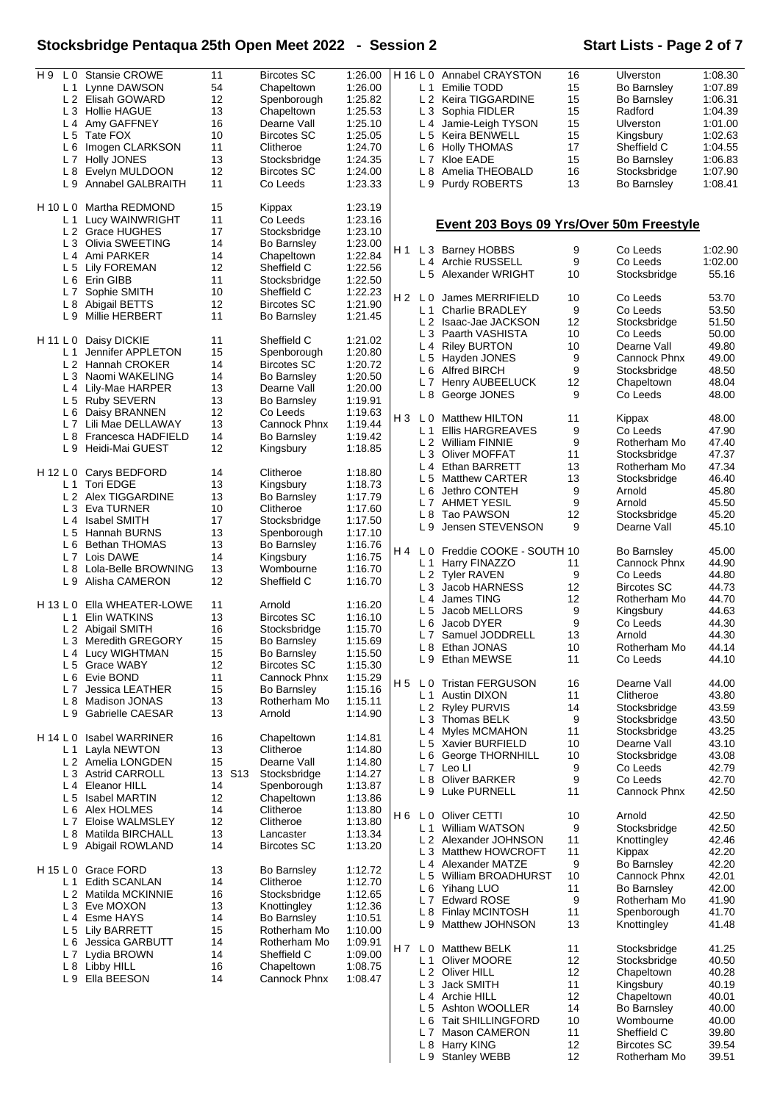# **Stocksbridge Pentaqua 25th Open Meet 2022 - Session 2 Start Lists - Page 2 of 7**

| H9       |                | L 0 Stansie CROWE              | 11     | <b>Bircotes SC</b> | 1:26.00 | H 16 L 0       |                | <b>Annabel CRAYSTON</b>                  | 16 | Ulverston          | 1:08.30 |
|----------|----------------|--------------------------------|--------|--------------------|---------|----------------|----------------|------------------------------------------|----|--------------------|---------|
|          |                |                                |        |                    |         |                |                |                                          |    |                    |         |
|          |                | L 1 Lynne DAWSON               | 54     | Chapeltown         | 1:26.00 |                |                | L <sub>1</sub> Emilie TODD               | 15 | Bo Barnsley        | 1:07.89 |
|          |                | L 2 Elisah GOWARD              | 12     | Spenborough        | 1:25.82 |                |                | L 2 Keira TIGGARDINE                     | 15 | Bo Barnsley        | 1:06.31 |
|          |                | L 3 Hollie HAGUE               | 13     | Chapeltown         | 1:25.53 |                |                | L 3 Sophia FIDLER                        | 15 | Radford            | 1:04.39 |
|          | L 4            | Amy GAFFNEY                    | 16     | Dearne Vall        | 1:25.10 |                | L4             | Jamie-Leigh TYSON                        | 15 | Ulverston          | 1:01.00 |
|          |                |                                |        |                    |         |                |                |                                          |    |                    |         |
|          | L 5            | Tate FOX                       | 10     | <b>Bircotes SC</b> | 1:25.05 |                | L <sub>5</sub> | Keira BENWELL                            | 15 | Kingsbury          | 1:02.63 |
|          | L 6            | Imogen CLARKSON                | 11     | Clitheroe          | 1:24.70 |                |                | L 6 Holly THOMAS                         | 17 | Sheffield C        | 1:04.55 |
|          | L <sub>7</sub> | Holly JONES                    | 13     | Stocksbridge       | 1:24.35 |                | L7             | Kloe EADE                                | 15 | Bo Barnsley        | 1:06.83 |
|          |                |                                | 12     |                    |         |                |                |                                          |    |                    |         |
|          | L 8            | Evelyn MULDOON                 |        | <b>Bircotes SC</b> | 1:24.00 |                |                | L 8 Amelia THEOBALD                      | 16 | Stocksbridge       | 1:07.90 |
|          | L9             | Annabel GALBRAITH              | 11     | Co Leeds           | 1:23.33 |                |                | L 9 Purdy ROBERTS                        | 13 | Bo Barnsley        | 1:08.41 |
|          |                |                                |        |                    |         |                |                |                                          |    |                    |         |
| H 10 L 0 |                | Martha REDMOND                 | 15     | Kippax             | 1:23.19 |                |                |                                          |    |                    |         |
|          | L 1            | Lucy WAINWRIGHT                | 11     | Co Leeds           | 1:23.16 |                |                |                                          |    |                    |         |
|          |                |                                |        |                    |         |                |                | Event 203 Boys 09 Yrs/Over 50m Freestyle |    |                    |         |
|          |                | L 2 Grace HUGHES               | 17     | Stocksbridge       | 1:23.10 |                |                |                                          |    |                    |         |
|          |                | L <sub>3</sub> Olivia SWEETING | 14     | <b>Bo Barnsley</b> | 1:23.00 | H1             |                | L 3 Barney HOBBS                         | 9  | Co Leeds           | 1:02.90 |
|          |                | L <sub>4</sub> Ami PARKER      | 14     | Chapeltown         | 1:22.84 |                |                |                                          |    |                    |         |
|          | L 5            | <b>Lily FOREMAN</b>            | 12     | Sheffield C        | 1:22.56 |                |                | L 4 Archie RUSSELL                       | 9  | Co Leeds           | 1:02.00 |
|          |                |                                |        |                    |         |                |                | L 5 Alexander WRIGHT                     | 10 | Stocksbridge       | 55.16   |
|          |                | L 6 Erin GIBB                  | 11     | Stocksbridge       | 1:22.50 |                |                |                                          |    |                    |         |
|          |                | L7 Sophie SMITH                | 10     | Sheffield C        | 1:22.23 | H <sub>2</sub> |                |                                          |    |                    |         |
|          | L8             | Abigail BETTS                  | 12     | <b>Bircotes SC</b> | 1:21.90 |                |                | LO James MERRIFIELD                      | 10 | Co Leeds           | 53.70   |
|          | L9             | Millie HERBERT                 | 11     |                    | 1:21.45 |                | L 1            | <b>Charlie BRADLEY</b>                   | 9  | Co Leeds           | 53.50   |
|          |                |                                |        | <b>Bo Barnsley</b> |         |                |                | L 2 Isaac-Jae JACKSON                    | 12 | Stocksbridge       | 51.50   |
|          |                |                                |        |                    |         |                |                | L 3 Paarth VASHISTA                      | 10 | Co Leeds           | 50.00   |
| H 11 L 0 |                | Daisy DICKIE                   | 11     | Sheffield C        | 1:21.02 |                |                |                                          |    |                    |         |
|          | L 1            | Jennifer APPLETON              | 15     | Spenborough        | 1:20.80 |                |                | L 4 Riley BURTON                         | 10 | Dearne Vall        | 49.80   |
|          | L 2            | Hannah CROKER                  | 14     | <b>Bircotes SC</b> | 1:20.72 |                | L <sub>5</sub> | Hayden JONES                             | 9  | Cannock Phnx       | 49.00   |
|          |                |                                |        |                    |         |                |                | L 6 Alfred BIRCH                         | 9  | Stocksbridge       | 48.50   |
|          |                | L 3 Naomi WAKELING             | 14     | <b>Bo Barnsley</b> | 1:20.50 |                |                | L 7 Henry AUBEELUCK                      | 12 | Chapeltown         | 48.04   |
|          |                | L 4 Lily-Mae HARPER            | 13     | Dearne Vall        | 1:20.00 |                |                |                                          |    |                    |         |
|          |                | L 5 Ruby SEVERN                | 13     | <b>Bo Barnsley</b> | 1:19.91 |                | L 8            | George JONES                             | 9  | Co Leeds           | 48.00   |
|          |                |                                | 12     | Co Leeds           | 1:19.63 |                |                |                                          |    |                    |         |
|          | L 6            | Daisy BRANNEN                  |        |                    |         | H 3            |                | L 0 Matthew HILTON                       | 11 | Kippax             | 48.00   |
|          |                | L 7 Lili Mae DELLAWAY          | 13     | Cannock Phnx       | 1:19.44 |                |                | L 1 Ellis HARGREAVES                     | 9  | Co Leeds           | 47.90   |
|          | L <sub>8</sub> | Francesca HADFIELD             | 14     | Bo Barnsley        | 1:19.42 |                |                |                                          |    |                    |         |
|          | L 9            | Heidi-Mai GUEST                | 12     | Kingsbury          | 1:18.85 |                |                | L 2 William FINNIE                       | 9  | Rotherham Mo       | 47.40   |
|          |                |                                |        |                    |         |                |                | L 3 Oliver MOFFAT                        | 11 | Stocksbridge       | 47.37   |
|          |                |                                |        |                    |         |                |                | L 4 Ethan BARRETT                        | 13 | Rotherham Mo       | 47.34   |
| H 12 L 0 |                | Carys BEDFORD                  | 14     | Clitheroe          | 1:18.80 |                |                |                                          | 13 |                    | 46.40   |
|          |                | L 1 Tori EDGE                  | 13     | Kingsbury          | 1:18.73 |                |                | L 5 Matthew CARTER                       |    | Stocksbridge       |         |
|          |                | L 2 Alex TIGGARDINE            | 13     | <b>Bo Barnsley</b> | 1:17.79 |                | L 6            | Jethro CONTEH                            | 9  | Arnold             | 45.80   |
|          |                |                                |        |                    |         |                |                | L 7 AHMET YESIL                          | 9  | Arnold             | 45.50   |
|          |                | L3 Eva TURNER                  | 10     | Clitheroe          | 1:17.60 |                |                | L 8 Tao PAWSON                           | 12 | Stocksbridge       | 45.20   |
|          | L 4            | <b>Isabel SMITH</b>            | 17     | Stocksbridge       | 1:17.50 |                |                |                                          | 9  |                    | 45.10   |
|          |                | L 5 Hannah BURNS               | 13     | Spenborough        | 1:17.10 |                | L9             | Jensen STEVENSON                         |    | Dearne Vall        |         |
|          | L 6            | Bethan THOMAS                  | 13     | Bo Barnsley        | 1:16.76 |                |                |                                          |    |                    |         |
|          |                |                                |        |                    |         | H 4            | L 0            | Freddie COOKE - SOUTH 10                 |    | Bo Barnsley        | 45.00   |
|          |                | L 7 Lois DAWE                  | 14     | Kingsbury          | 1:16.75 |                |                | L 1 Harry FINAZZO                        | 11 | Cannock Phnx       | 44.90   |
|          | L8             | Lola-Belle BROWNING            | 13     | Wombourne          | 1:16.70 |                |                |                                          |    | Co Leeds           |         |
|          |                | L 9 Alisha CAMERON             | 12     | Sheffield C        | 1:16.70 |                |                | L 2 Tyler RAVEN                          | 9  |                    | 44.80   |
|          |                |                                |        |                    |         |                | L <sub>3</sub> | Jacob HARNESS                            | 12 | <b>Bircotes SC</b> | 44.73   |
|          |                |                                |        |                    |         |                | L4             | James TING                               | 12 | Rotherham Mo       | 44.70   |
|          |                | H 13 L 0 Ella WHEATER-LOWE     | 11     | Arnold             | 1:16.20 |                | L <sub>5</sub> | Jacob MELLORS                            | 9  | Kingsbury          | 44.63   |
|          | L 1            | Elin WATKINS                   | 13     | <b>Bircotes SC</b> | 1:16.10 |                | L 6            | Jacob DYER                               | 9  | Co Leeds           | 44.30   |
|          |                | L 2 Abigail SMITH              | 16     | Stocksbridge       | 1:15.70 |                |                |                                          |    |                    |         |
|          |                | L 3 Meredith GREGORY           | 15     | Bo Barnsley        | 1:15.69 |                |                | L 7 Samuel JODDRELL                      | 13 | Arnold             | 44.30   |
|          |                |                                | 15     |                    |         |                |                | L 8 Ethan JONAS                          | 10 | Rotherham Mo       | 44.14   |
|          |                | L 4 Lucy WIGHTMAN              |        | Bo Barnsley        | 1:15.50 |                |                | L 9 Ethan MEWSE                          | 11 | Co Leeds           | 44.10   |
|          |                | L 5 Grace WABY                 | 12     | <b>Bircotes SC</b> | 1:15.30 |                |                |                                          |    |                    |         |
|          |                | L 6 Evie BOND                  | 11     | Cannock Phnx       | 1:15.29 |                |                |                                          |    |                    |         |
|          | L <sub>7</sub> | Jessica LEATHER                | 15     | <b>Bo Barnsley</b> | 1:15.16 | H 5            |                | L0 Tristan FERGUSON                      | 16 | Dearne Vall        | 44.00   |
|          | L 8            | Madison JONAS                  | 13     | Rotherham Mo       | 1:15.11 |                | L <sub>1</sub> | <b>Austin DIXON</b>                      | 11 | Clitheroe          | 43.80   |
|          |                |                                |        |                    |         |                |                | L <sub>2</sub> Ryley PURVIS              | 14 | Stocksbridge       | 43.59   |
|          | L 9            | <b>Gabrielle CAESAR</b>        | 13     | Arnold             | 1:14.90 |                |                | L 3 Thomas BELK                          | 9  | Stocksbridge       | 43.50   |
|          |                |                                |        |                    |         |                |                |                                          |    |                    |         |
|          |                | H 14 L 0 Isabel WARRINER       | 16     | Chapeltown         | 1:14.81 |                | L <sub>4</sub> | Myles MCMAHON                            | 11 | Stocksbridge       | 43.25   |
|          | L 1            | Layla NEWTON                   | 13     | Clitheroe          | 1:14.80 |                |                | L 5 Xavier BURFIELD                      | 10 | Dearne Vall        | 43.10   |
|          |                |                                |        |                    |         |                | L 6            | George THORNHILL                         | 10 | Stocksbridge       | 43.08   |
|          |                | L 2 Amelia LONGDEN             | 15     | Dearne Vall        | 1:14.80 |                |                | L 7 Leo LI                               | 9  | Co Leeds           | 42.79   |
|          |                | L 3 Astrid CARROLL             | 13 S13 | Stocksbridge       | 1:14.27 |                |                |                                          | 9  |                    |         |
|          |                | L 4 Eleanor HILL               | 14     | Spenborough        | 1:13.87 |                |                | L 8 Oliver BARKER                        |    | Co Leeds           | 42.70   |
|          |                | L 5 Isabel MARTIN              | 12     | Chapeltown         | 1:13.86 |                |                | L 9 Luke PURNELL                         | 11 | Cannock Phnx       | 42.50   |
|          |                |                                |        |                    |         |                |                |                                          |    |                    |         |
|          | L 6            | Alex HOLMES                    | 14     | Clitheroe          | 1:13.80 | H 6            |                | L 0 Oliver CETTI                         | 10 | Arnold             | 42.50   |
|          | L 7            | Eloise WALMSLEY                | 12     | Clitheroe          | 1:13.80 |                | L 1            | William WATSON                           | 9  | Stocksbridge       | 42.50   |
|          | L 8            | Matilda BIRCHALL               | 13     | Lancaster          | 1:13.34 |                |                |                                          |    |                    |         |
|          | L 9            | Abigail ROWLAND                | 14     | <b>Bircotes SC</b> | 1:13.20 |                |                | L 2 Alexander JOHNSON                    | 11 | Knottingley        | 42.46   |
|          |                |                                |        |                    |         |                | L <sub>3</sub> | Matthew HOWCROFT                         | 11 | Kippax             | 42.20   |
|          |                |                                |        |                    |         |                |                | L 4 Alexander MATZE                      | 9  | <b>Bo Barnsley</b> | 42.20   |
| H 15 L 0 |                | <b>Grace FORD</b>              | 13     | <b>Bo Barnsley</b> | 1:12.72 |                | L <sub>5</sub> | William BROADHURST                       | 10 | Cannock Phnx       | 42.01   |
|          | L 1            | <b>Edith SCANLAN</b>           | 14     | Clitheroe          | 1:12.70 |                |                |                                          |    |                    |         |
|          |                | L 2 Matilda MCKINNIE           | 16     | Stocksbridge       | 1:12.65 |                |                | L 6 Yihang LUO                           | 11 | Bo Barnsley        | 42.00   |
|          |                | L 3 Eve MOXON                  | 13     | Knottingley        | 1:12.36 |                |                | L 7 Edward ROSE                          | 9  | Rotherham Mo       | 41.90   |
|          |                |                                |        |                    |         |                | L 8            | Finlay MCINTOSH                          | 11 | Spenborough        | 41.70   |
|          |                | L 4 Esme HAYS                  | 14     | Bo Barnsley        | 1:10.51 |                | L 9            | Matthew JOHNSON                          | 13 | Knottingley        | 41.48   |
|          |                | L 5 Lily BARRETT               | 15     | Rotherham Mo       | 1:10.00 |                |                |                                          |    |                    |         |
|          |                | L 6 Jessica GARBUTT            | 14     | Rotherham Mo       | 1:09.91 |                |                |                                          |    |                    |         |
|          |                |                                |        |                    |         | H 7            |                | L 0 Matthew BELK                         | 11 | Stocksbridge       | 41.25   |
|          | L 7            | Lydia BROWN                    | 14     | Sheffield C        | 1:09.00 |                | L <sub>1</sub> | Oliver MOORE                             | 12 | Stocksbridge       | 40.50   |
|          | L 8            | Libby HILL                     | 16     | Chapeltown         | 1:08.75 |                |                | L 2 Oliver HILL                          | 12 | Chapeltown         | 40.28   |
|          |                | L 9 Ella BEESON                | 14     | Cannock Phnx       | 1:08.47 |                |                |                                          |    |                    |         |
|          |                |                                |        |                    |         |                | L <sub>3</sub> | Jack SMITH                               | 11 | Kingsbury          | 40.19   |
|          |                |                                |        |                    |         |                |                | L 4 Archie HILL                          | 12 | Chapeltown         | 40.01   |
|          |                |                                |        |                    |         |                |                | L 5 Ashton WOOLLER                       | 14 | <b>Bo Barnsley</b> | 40.00   |
|          |                |                                |        |                    |         |                |                | L 6 Tait SHILLINGFORD                    | 10 | Wombourne          | 40.00   |
|          |                |                                |        |                    |         |                |                |                                          |    |                    |         |
|          |                |                                |        |                    |         |                | L7             | <b>Mason CAMERON</b>                     | 11 | Sheffield C        | 39.80   |
|          |                |                                |        |                    |         |                |                | L 8 Harry KING                           | 12 | <b>Bircotes SC</b> | 39.54   |
|          |                |                                |        |                    |         |                |                | L 9 Stanley WEBB                         | 12 | Rotherham Mo       | 39.51   |
|          |                |                                |        |                    |         |                |                |                                          |    |                    |         |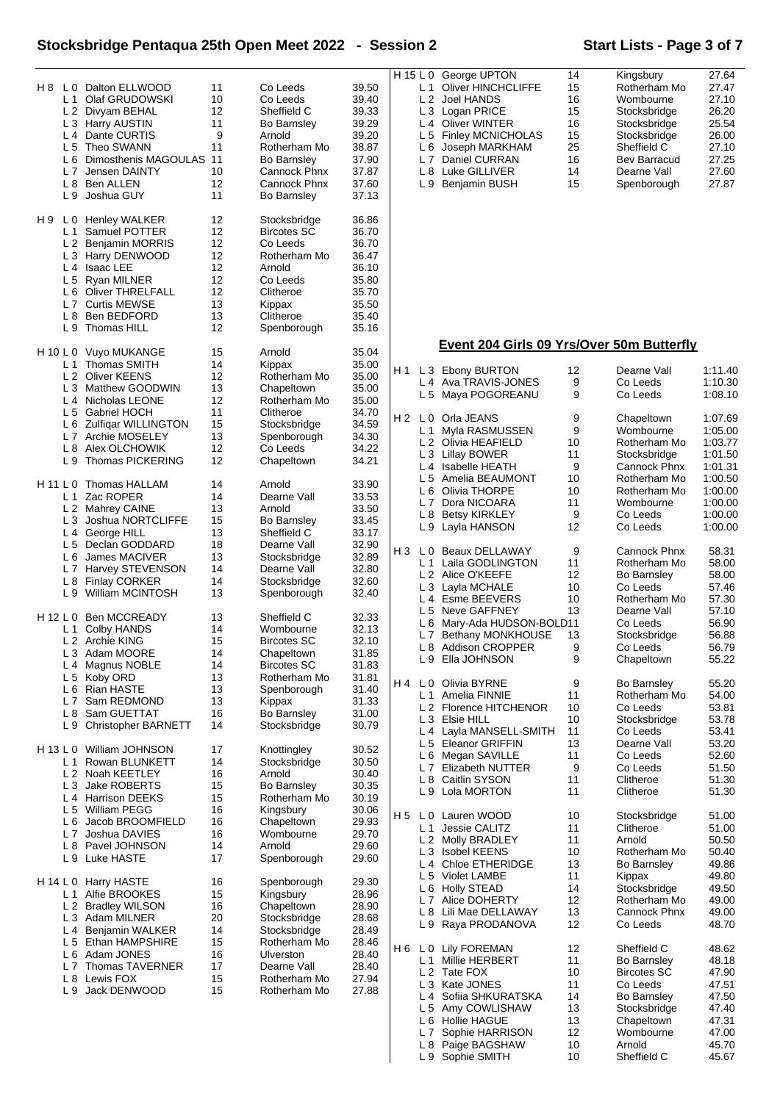# **Stocksbridge Pentaqua 25th Open Meet 2022 - Session 2 Start Lists - Page 3 of 7**

| H8 L0<br>L <sub>1</sub><br>L <sub>5</sub><br>L <sub>6</sub><br>L <sub>7</sub><br>L <sub>9</sub> | Dalton ELLWOOD<br>Olaf GRUDOWSKI<br>L 2 Divyam BEHAL<br>L 3 Harry AUSTIN<br>L <sub>4</sub> Dante CURTIS<br>Theo SWANN<br>Dimosthenis MAGOULAS<br>Jensen DAINTY<br>L 8 Ben ALLEN<br>Joshua GUY     | 11<br>10<br>12<br>11<br>9<br>11<br>11<br>10<br>12<br>11  | Co Leeds<br>Co Leeds<br>Sheffield C<br><b>Bo Barnsley</b><br>Arnold<br>Rotherham Mo<br><b>Bo Barnsley</b><br>Cannock Phnx<br>Cannock Phnx<br><b>Bo Barnsley</b> | 39.50<br>39.40<br>39.33<br>39.29<br>39.20<br>38.87<br>37.90<br>37.87<br>37.60<br>37.13 |            | L <sub>1</sub><br>L 2<br>L 4<br>L 6<br>L 7<br>L 9 | H 15 L 0 George UPTON<br>Oliver HINCHCLIFFE<br>Joel HANDS<br>L 3 Logan PRICE<br>Oliver WINTER<br>L 5 Finley MCNICHOLAS<br>Joseph MARKHAM<br>Daniel CURRAN<br>L 8 Luke GILLIVER<br><b>Benjamin BUSH</b> | 14<br>15<br>16<br>15<br>16<br>15<br>25<br>16<br>14<br>15 | Kingsbury<br>Rotherham Mo<br>Wombourne<br>Stocksbridge<br>Stocksbridge<br>Stocksbridge<br>Sheffield C<br>Bev Barracud<br>Dearne Vall<br>Spenborough | 27.64<br>27.47<br>27.10<br>26.20<br>25.54<br>26.00<br>27.10<br>27.25<br>27.60<br>27.87 |
|-------------------------------------------------------------------------------------------------|---------------------------------------------------------------------------------------------------------------------------------------------------------------------------------------------------|----------------------------------------------------------|-----------------------------------------------------------------------------------------------------------------------------------------------------------------|----------------------------------------------------------------------------------------|------------|---------------------------------------------------|--------------------------------------------------------------------------------------------------------------------------------------------------------------------------------------------------------|----------------------------------------------------------|-----------------------------------------------------------------------------------------------------------------------------------------------------|----------------------------------------------------------------------------------------|
| H 9<br>L 0<br>L 1<br>L 2<br>L <sub>5</sub><br>L <sub>7</sub><br>L <sub>8</sub><br>L9            | <b>Henley WALKER</b><br>Samuel POTTER<br><b>Benjamin MORRIS</b><br>L 3 Harry DENWOOD<br>L 4 Isaac LEE<br>Ryan MILNER<br>L 6 Oliver THRELFALL<br><b>Curtis MEWSE</b><br>Ben BEDFORD<br>Thomas HILL | 12<br>12<br>12<br>12<br>12<br>12<br>12<br>13<br>13<br>12 | Stocksbridge<br><b>Bircotes SC</b><br>Co Leeds<br>Rotherham Mo<br>Arnold<br>Co Leeds<br>Clitheroe<br>Kippax<br>Clitheroe<br>Spenborough                         | 36.86<br>36.70<br>36.70<br>36.47<br>36.10<br>35.80<br>35.70<br>35.50<br>35.40<br>35.16 |            |                                                   |                                                                                                                                                                                                        |                                                          |                                                                                                                                                     |                                                                                        |
| H 10 L 0                                                                                        | Vuyo MUKANGE                                                                                                                                                                                      | 15                                                       | Arnold                                                                                                                                                          | 35.04                                                                                  |            |                                                   | Event 204 Girls 09 Yrs/Over 50m Butterfly                                                                                                                                                              |                                                          |                                                                                                                                                     |                                                                                        |
| L <sub>5</sub>                                                                                  | L <sub>1</sub> Thomas SMITH<br>L 2 Oliver KEENS<br>L 3 Matthew GOODWIN<br>L 4 Nicholas LEONE<br><b>Gabriel HOCH</b>                                                                               | 14<br>12<br>13<br>12<br>11                               | Kippax<br>Rotherham Mo<br>Chapeltown<br>Rotherham Mo<br>Clitheroe                                                                                               | 35.00<br>35.00<br>35.00<br>35.00<br>34.70                                              | H 1<br>H 2 |                                                   | L 3 Ebony BURTON<br>L 4 Ava TRAVIS-JONES<br>L 5 Maya POGOREANU<br>L 0 Orla JEANS                                                                                                                       | 12<br>9<br>9<br>9                                        | Dearne Vall<br>Co Leeds<br>Co Leeds<br>Chapeltown                                                                                                   | 1:11.40<br>1:10.30<br>1:08.10<br>1:07.69                                               |
| L 6<br>L 7<br>L8<br>L9                                                                          | <b>Zulfigar WILLINGTON</b><br>Archie MOSELEY<br>Alex OLCHOWIK<br>Thomas PICKERING                                                                                                                 | 15<br>13<br>12<br>12<br>14                               | Stocksbridge<br>Spenborough<br>Co Leeds<br>Chapeltown<br>Arnold                                                                                                 | 34.59<br>34.30<br>34.22<br>34.21                                                       |            | L 1<br>L 5                                        | Myla RASMUSSEN<br>L 2 Olivia HEAFIELD<br>L 3 Lillay BOWER<br>L 4 Isabelle HEATH<br>Amelia BEAUMONT                                                                                                     | 9<br>10<br>11<br>9<br>10                                 | Wombourne<br>Rotherham Mo<br>Stocksbridge<br>Cannock Phnx<br>Rotherham Mo                                                                           | 1:05.00<br>1:03.77<br>1:01.50<br>1:01.31<br>1:00.50                                    |
| H 11 L 0<br>L 1<br>L <sub>3</sub><br>L 4                                                        | Thomas HALLAM<br>Zac ROPER<br>L 2 Mahrey CAINE<br>Joshua NORTCLIFFE<br>George HILL<br>L 5 Declan GODDARD                                                                                          | 14<br>13<br>15<br>13<br>18                               | Dearne Vall<br>Arnold<br><b>Bo Barnsley</b><br>Sheffield C<br>Dearne Vall                                                                                       | 33.90<br>33.53<br>33.50<br>33.45<br>33.17<br>32.90                                     |            | L 6<br>L 7<br>L 8                                 | Olivia THORPE<br>Dora NICOARA<br><b>Betsy KIRKLEY</b><br>L 9 Layla HANSON                                                                                                                              | 10<br>11<br>9<br>12                                      | Rotherham Mo<br>Wombourne<br>Co Leeds<br>Co Leeds                                                                                                   | 1:00.00<br>1:00.00<br>1:00.00<br>1:00.00                                               |
| L <sub>6</sub><br>L <sub>7</sub><br>L <sub>8</sub><br>L 9                                       | James MACIVER<br>Harvey STEVENSON<br><b>Finlay CORKER</b><br>William MCINTOSH                                                                                                                     | 13<br>14<br>14<br>13                                     | Stocksbridge<br>Dearne Vall<br>Stocksbridge<br>Spenborough                                                                                                      | 32.89<br>32.80<br>32.60<br>32.40                                                       | H 3        | L 1<br>L3                                         | L 0 Beaux DELLAWAY<br>Laila GODLINGTON<br>L 2 Alice O'KEEFE<br>Layla MCHALE<br>L 4 Esme BEEVERS<br>L 5 Neve GAFFNEY                                                                                    | 9<br>11<br>12<br>10<br>10<br>13                          | Cannock Phnx<br>Rotherham Mo<br><b>Bo Barnsley</b><br>Co Leeds<br>Rotherham Mo<br>Dearne Vall                                                       | 58.31<br>58.00<br>58.00<br>57.46<br>57.30<br>57.10                                     |
| H 12 L 0<br>L 1<br>L <sub>4</sub>                                                               | <b>Ben MCCREADY</b><br><b>Colby HANDS</b><br>L 2 Archie KING<br>L 3 Adam MOORE<br>Magnus NOBLE<br>L 5 Koby ORD                                                                                    | 13<br>14<br>15<br>14<br>14<br>13                         | Sheffield C<br>Wombourne<br><b>Bircotes SC</b><br>Chapeltown<br><b>Bircotes SC</b><br>Rotherham Mo                                                              | 32.33<br>32.13<br>32.10<br>31.85<br>31.83<br>31.81                                     |            | L 7<br>L 9                                        | L 6 Mary-Ada HUDSON-BOLD11<br>Bethany MONKHOUSE<br>L 8 Addison CROPPER<br>Ella JOHNSON                                                                                                                 | 13<br>9<br>9                                             | Co Leeds<br>Stocksbridge<br>Co Leeds<br>Chapeltown                                                                                                  | 56.90<br>56.88<br>56.79<br>55.22                                                       |
| L <sub>7</sub><br>L <sub>8</sub><br>L 9                                                         | L 6 Rian HASTE<br>Sam REDMOND<br>Sam GUETTAT<br><b>Christopher BARNETT</b>                                                                                                                        | 13<br>13<br>16<br>14                                     | Spenborough<br>Kippax<br><b>Bo Barnsley</b><br>Stocksbridge                                                                                                     | 31.40<br>31.33<br>31.00<br>30.79                                                       | H 4        | L 3<br>L 5                                        | L 0 Olivia BYRNE<br>L 1 Amelia FINNIE<br>L 2 Florence HITCHENOR<br>Elsie HILL<br>L 4 Layla MANSELL-SMITH<br>Eleanor GRIFFIN                                                                            | 9<br>11<br>10<br>10<br>11<br>13                          | <b>Bo Barnsley</b><br>Rotherham Mo<br>Co Leeds<br>Stocksbridge<br>Co Leeds<br>Dearne Vall                                                           | 55.20<br>54.00<br>53.81<br>53.78<br>53.41<br>53.20                                     |
| H 13 L 0<br>L 1                                                                                 | William JOHNSON<br>Rowan BLUNKETT<br>L 2 Noah KEETLEY<br>L 3 Jake ROBERTS<br>L 4 Harrison DEEKS<br>L 5 William PEGG                                                                               | 17<br>14<br>16<br>15<br>15<br>16                         | Knottingley<br>Stocksbridge<br>Arnold<br><b>Bo Barnsley</b><br>Rotherham Mo<br>Kingsbury                                                                        | 30.52<br>30.50<br>30.40<br>30.35<br>30.19<br>30.06                                     |            | L 7                                               | L 6 Megan SAVILLE<br>Elizabeth NUTTER<br>L 8 Caitlin SYSON<br>L 9 Lola MORTON                                                                                                                          | 11<br>9<br>11<br>11                                      | Co Leeds<br>Co Leeds<br>Clitheroe<br>Clitheroe                                                                                                      | 52.60<br>51.50<br>51.30<br>51.30                                                       |
| L 6<br>L <sub>7</sub><br>L8                                                                     | Jacob BROOMFIELD<br>Joshua DAVIES<br>Pavel JOHNSON<br>L 9 Luke HASTE                                                                                                                              | 16<br>16<br>14<br>17                                     | Chapeltown<br>Wombourne<br>Arnold<br>Spenborough                                                                                                                | 29.93<br>29.70<br>29.60<br>29.60                                                       | H 5        | L 0<br>L 1<br>L 5                                 | Lauren WOOD<br>Jessie CALITZ<br>L 2 Molly BRADLEY<br>L 3 Isobel KEENS<br>L 4 Chloe ETHERIDGE<br>Violet LAMBE                                                                                           | 10<br>11<br>11<br>10<br>13<br>11                         | Stocksbridge<br>Clitheroe<br>Arnold<br>Rotherham Mo<br>Bo Barnsley<br>Kippax                                                                        | 51.00<br>51.00<br>50.50<br>50.40<br>49.86<br>49.80                                     |
| H 14 L 0<br>L <sub>1</sub><br>L <sub>2</sub><br>LЗ<br>L4                                        | <b>Harry HASTE</b><br>Alfie BROOKES<br><b>Bradley WILSON</b><br>Adam MILNER<br><b>Benjamin WALKER</b><br>L 5 Ethan HAMPSHIRE                                                                      | 16<br>15<br>16<br>20<br>14<br>15                         | Spenborough<br>Kingsbury<br>Chapeltown<br>Stocksbridge<br>Stocksbridge<br>Rotherham Mo                                                                          | 29.30<br>28.96<br>28.90<br>28.68<br>28.49<br>28.46                                     |            | L 6<br>L 7<br>L 9                                 | Holly STEAD<br>Alice DOHERTY<br>L 8 Lili Mae DELLAWAY<br>Raya PRODANOVA                                                                                                                                | 14<br>12<br>13<br>12                                     | Stocksbridge<br>Rotherham Mo<br>Cannock Phnx<br>Co Leeds                                                                                            | 49.50<br>49.00<br>49.00<br>48.70                                                       |
| L6<br>L <sub>7</sub><br>L8<br>L 9                                                               | Adam JONES<br>Thomas TAVERNER<br>Lewis FOX<br>Jack DENWOOD                                                                                                                                        | 16<br>17<br>15<br>15                                     | Ulverston<br>Dearne Vall<br>Rotherham Mo<br>Rotherham Mo                                                                                                        | 28.40<br>28.40<br>27.94<br>27.88                                                       | H 6        | L 4<br>L 5<br>L 6<br>L 7<br>L 8                   | L 0 Lily FOREMAN<br>L 1 Millie HERBERT<br>L 2 Tate FOX<br>L 3 Kate JONES<br>Sofiia SHKURATSKA<br>Amy COWLISHAW<br><b>Hollie HAGUE</b><br>Sophie HARRISON<br>Paige BAGSHAW<br>L 9 Sophie SMITH          | 12<br>11<br>10<br>11<br>14<br>13<br>13<br>12<br>10<br>10 | Sheffield C<br>Bo Barnsley<br><b>Bircotes SC</b><br>Co Leeds<br>Bo Barnsley<br>Stocksbridge<br>Chapeltown<br>Wombourne<br>Arnold<br>Sheffield C     | 48.62<br>48.18<br>47.90<br>47.51<br>47.50<br>47.40<br>47.31<br>47.00<br>45.70<br>45.67 |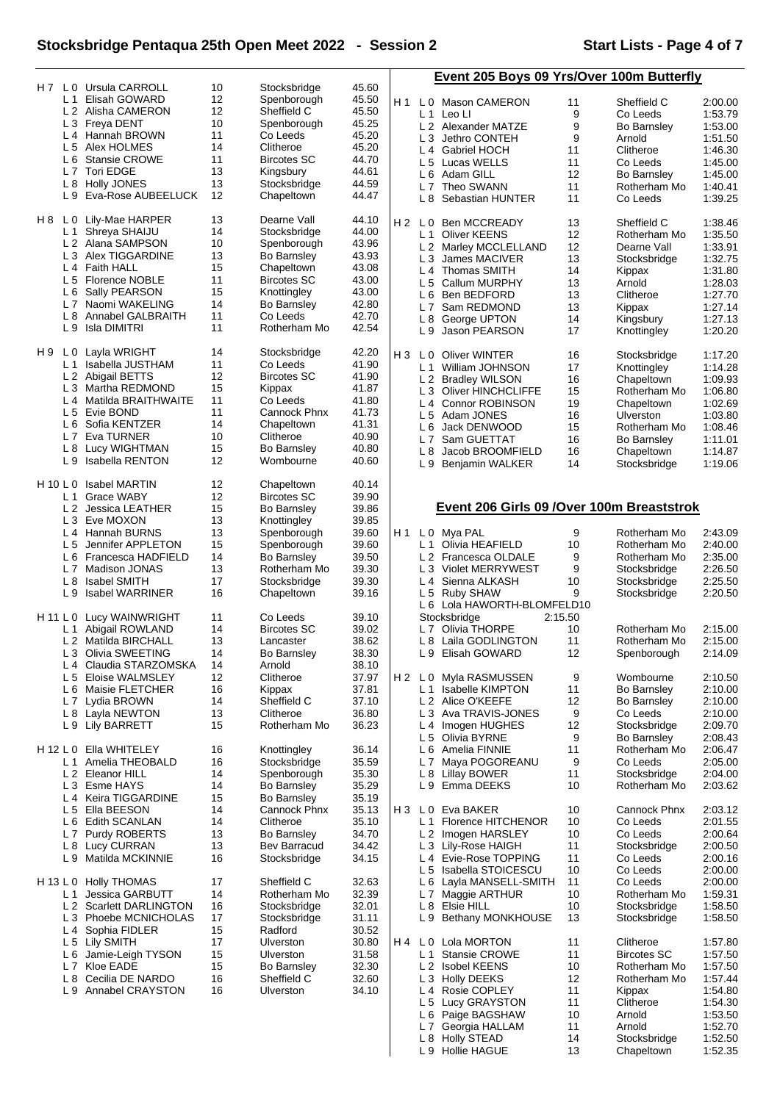### **Stocksbridge Pentaqua 25th Open Meet 2022 - Session 2 Start Lists - Page 4 of 7**

L 8 Holly STEAD 14 Stocksbridge 1:52.50 L 9 Hollie HAGUE 13 Chapeltown 1:52.35

| H 7        | L 0            | Ursula CARROLL                         | 10 | Stocksbridge       | 45.60 |                |                       | Event 205 Boys 09 Yrs/Over 100m Butterfly   |         |                    |         |
|------------|----------------|----------------------------------------|----|--------------------|-------|----------------|-----------------------|---------------------------------------------|---------|--------------------|---------|
|            | L <sub>1</sub> | Elisah GOWARD                          | 12 | Spenborough        | 45.50 | H1             |                       |                                             |         |                    |         |
|            |                | L 2 Alisha CAMERON                     | 12 | Sheffield C        | 45.50 |                |                       | L 0 Mason CAMERON                           | 11      | Sheffield C        | 2:00.00 |
|            | L3             | Freya DENT                             | 10 | Spenborough        | 45.25 |                |                       | $L1$ Leo LI                                 | 9       | Co Leeds           | 1:53.79 |
|            | $L_4$          | Hannah BROWN                           | 11 | Co Leeds           | 45.20 |                | L2                    | Alexander MATZE                             | 9       | Bo Barnsley        | 1:53.00 |
|            | L <sub>5</sub> | Alex HOLMES                            | 14 | Clitheroe          | 45.20 |                | L <sub>3</sub>        | Jethro CONTEH                               | 9       | Arnold             | 1:51.50 |
|            | L <sub>6</sub> | <b>Stansie CROWE</b>                   | 11 | <b>Bircotes SC</b> | 44.70 |                | L4                    | <b>Gabriel HOCH</b>                         | 11      | Clitheroe          | 1:46.30 |
|            | L <sub>7</sub> | <b>Tori EDGE</b>                       | 13 | Kingsbury          | 44.61 |                | L <sub>5</sub>        | Lucas WELLS                                 | 11      | Co Leeds           | 1:45.00 |
|            | L 8            | <b>Holly JONES</b>                     | 13 | Stocksbridge       | 44.59 |                | L <sub>6</sub>        | Adam GILL                                   | 12      | Bo Barnsley        | 1:45.00 |
|            | L9             | Eva-Rose AUBEELUCK                     | 12 | Chapeltown         | 44.47 |                | L <sub>7</sub>        | Theo SWANN                                  | 11      | Rotherham Mo       | 1:40.41 |
|            |                |                                        |    |                    |       |                | L 8                   | Sebastian HUNTER                            | 11      | Co Leeds           | 1:39.25 |
| H 8        | L 0            | Lily-Mae HARPER                        | 13 | Dearne Vall        | 44.10 | H <sub>2</sub> | L <sub>0</sub>        | <b>Ben MCCREADY</b>                         | 13      | Sheffield C        | 1:38.46 |
|            | L 1            | Shreya SHAIJU                          | 14 | Stocksbridge       | 44.00 |                | L 1                   | <b>Oliver KEENS</b>                         | 12      | Rotherham Mo       | 1:35.50 |
|            | L2             | Alana SAMPSON                          | 10 | Spenborough        | 43.96 |                |                       | L 2 Marley MCCLELLAND                       | 12      | Dearne Vall        | 1:33.91 |
|            | L <sub>3</sub> | Alex TIGGARDINE                        | 13 | Bo Barnsley        | 43.93 |                | LЗ                    | James MACIVER                               | 13      | Stocksbridge       | 1:32.75 |
|            | L <sub>4</sub> | <b>Faith HALL</b>                      | 15 | Chapeltown         | 43.08 |                |                       | L <sub>4</sub> Thomas SMITH                 | 14      | Kippax             | 1:31.80 |
|            | L <sub>5</sub> | <b>Florence NOBLE</b>                  | 11 | <b>Bircotes SC</b> | 43.00 |                | L <sub>5</sub>        | Callum MURPHY                               | 13      | Arnold             | 1:28.03 |
|            | L 6            | Sally PEARSON                          | 15 | Knottingley        | 43.00 |                | L <sub>6</sub>        | Ben BEDFORD                                 | 13      | Clitheroe          | 1:27.70 |
|            | L <sub>7</sub> | Naomi WAKELING                         | 14 | <b>Bo Barnsley</b> | 42.80 |                | L7                    | Sam REDMOND                                 | 13      | Kippax             | 1:27.14 |
|            | L <sub>8</sub> | Annabel GALBRAITH                      | 11 | Co Leeds           | 42.70 |                | L 8                   | George UPTON                                | 14      | Kingsbury          | 1:27.13 |
|            | L <sub>9</sub> | <b>Isla DIMITRI</b>                    | 11 | Rotherham Mo       | 42.54 |                | L9                    | Jason PEARSON                               | 17      | Knottingley        | 1:20.20 |
|            |                |                                        |    |                    |       |                |                       |                                             |         |                    |         |
| H 9        | L <sub>0</sub> | Layla WRIGHT                           | 14 | Stocksbridge       | 42.20 | $H_3$          | L 0                   | <b>Oliver WINTER</b>                        | 16      | Stocksbridge       | 1:17.20 |
|            | L <sub>1</sub> | Isabella JUSTHAM                       | 11 | Co Leeds           | 41.90 |                | L <sub>1</sub>        | William JOHNSON                             | 17      | Knottingley        | 1:14.28 |
|            | L <sub>2</sub> | Abigail BETTS                          | 12 | <b>Bircotes SC</b> | 41.90 |                |                       | L 2 Bradley WILSON                          | 16      | Chapeltown         | 1:09.93 |
|            | L <sub>3</sub> | Martha REDMOND                         | 15 | Kippax             | 41.87 |                | L <sub>3</sub>        | <b>Oliver HINCHCLIFFE</b>                   | 15      | Rotherham Mo       | 1:06.80 |
|            | L4             | Matilda BRAITHWAITE                    | 11 | Co Leeds           | 41.80 |                | L <sub>4</sub>        | <b>Connor ROBINSON</b>                      | 19      | Chapeltown         | 1:02.69 |
|            | L <sub>5</sub> | Evie BOND                              | 11 | Cannock Phnx       | 41.73 |                | L 5                   | Adam JONES                                  | 16      | <b>Ulverston</b>   | 1:03.80 |
|            | L 6            | Sofia KENTZER                          | 14 | Chapeltown         | 41.31 |                | L 6                   | Jack DENWOOD                                | 15      | Rotherham Mo       | 1:08.46 |
|            | L <sub>7</sub> | Eva TURNER                             | 10 | Clitheroe          | 40.90 |                | L7                    | Sam GUETTAT                                 | 16      | Bo Barnsley        | 1:11.01 |
|            | L8             | Lucy WIGHTMAN                          | 15 | <b>Bo Barnsley</b> | 40.80 |                | L <sub>8</sub>        | Jacob BROOMFIELD                            | 16      | Chapeltown         | 1:14.87 |
|            | L9             | <b>Isabella RENTON</b>                 | 12 | Wombourne          | 40.60 |                | L 9                   | Benjamin WALKER                             | 14      | Stocksbridge       | 1:19.06 |
|            |                |                                        |    |                    |       |                |                       |                                             |         |                    |         |
| $H$ 10 L 0 |                | <b>Isabel MARTIN</b>                   | 12 | Chapeltown         | 40.14 |                |                       |                                             |         |                    |         |
|            | L 1            | Grace WABY                             | 12 | <b>Bircotes SC</b> | 39.90 |                |                       | Event 206 Girls 09 / Over 100m Breaststrok  |         |                    |         |
|            | L <sub>2</sub> | Jessica LEATHER                        | 15 | <b>Bo Barnsley</b> | 39.86 |                |                       |                                             |         |                    |         |
|            | $L_3$          | Eve MOXON                              | 13 | Knottingley        | 39.85 |                |                       |                                             |         |                    |         |
|            | L <sub>4</sub> | Hannah BURNS                           | 13 | Spenborough        | 39.60 | H1             | L 0                   | Mya PAL                                     | 9       | Rotherham Mo       | 2:43.09 |
|            | L <sub>5</sub> | Jennifer APPLETON                      | 15 | Spenborough        | 39.60 |                | L <sub>1</sub>        | Olivia HEAFIELD                             | 10      | Rotherham Mo       | 2:40.00 |
|            | L 6            | Francesca HADFIELD                     | 14 | Bo Barnsley        | 39.50 |                | L <sub>2</sub>        | Francesca OLDALE                            | 9       | Rotherham Mo       | 2:35.00 |
|            | L <sub>7</sub> | Madison JONAS                          | 13 | Rotherham Mo       | 39.30 |                | L <sub>3</sub>        | <b>Violet MERRYWEST</b>                     | 9       | Stocksbridge       | 2:26.50 |
|            | L8             | <b>Isabel SMITH</b><br>Isabel WARRINER | 17 | Stocksbridge       | 39.30 |                | L4                    | Sienna ALKASH                               | 10      | Stocksbridge       | 2:25.50 |
|            | L <sub>9</sub> |                                        | 16 | Chapeltown         | 39.16 |                | L <sub>5</sub><br>L 6 | <b>Ruby SHAW</b><br>Lola HAWORTH-BLOMFELD10 | 9       | Stocksbridge       | 2:20.50 |
| H 11 L 0   |                | Lucy WAINWRIGHT                        | 11 | Co Leeds           | 39.10 |                |                       | Stocksbridge                                | 2:15.50 |                    |         |
|            | L 1            | Abigail ROWLAND                        | 14 | <b>Bircotes SC</b> | 39.02 |                | L 7                   | Olivia THORPE                               | 10      | Rotherham Mo       | 2:15.00 |
|            |                | L 2 Matilda BIRCHALL                   | 13 | Lancaster          | 38.62 |                |                       | L 8 Laila GODLINGTON                        | 11      | Rotherham Mo       | 2:15.00 |
|            | L3             | Olivia SWEETING                        | 14 | Bo Barnsley        | 38.30 |                |                       | L 9 Elisah GOWARD                           | 12      | Spenborough        | 2:14.09 |
|            | L4             | Claudia STARZOMSKA                     | 14 | Arnold             | 38.10 |                |                       |                                             |         |                    |         |
|            | L <sub>5</sub> | Eloise WALMSLEY                        | 12 | Clitheroe          | 37.97 |                | H2 L0                 | Myla RASMUSSEN                              | 9       | Wombourne          | 2:10.50 |
|            | L 6            | Maisie FLETCHER                        | 16 | Kippax             | 37.81 |                | L 1                   | <b>Isabelle KIMPTON</b>                     | 11      | Bo Barnsley        | 2:10.00 |
|            |                | L 7 Lydia BROWN                        | 14 | Sheffield C        | 37.10 |                |                       | L 2 Alice O'KEEFE                           | 12      | Bo Barnsley        | 2:10.00 |
|            | L 8            | Layla NEWTON                           | 13 | Clitheroe          | 36.80 |                | LЗ                    | Ava TRAVIS-JONES                            | 9       | Co Leeds           | 2:10.00 |
|            | L 9            | <b>Lily BARRETT</b>                    | 15 | Rotherham Mo       | 36.23 |                | L 4                   | Imogen HUGHES                               | 12      | Stocksbridge       | 2:09.70 |
|            |                |                                        |    |                    |       |                | L 5                   | Olivia BYRNE                                | 9       | Bo Barnsley        | 2:08.43 |
| H 12 L 0   |                | Ella WHITELEY                          | 16 | Knottingley        | 36.14 |                | L <sub>6</sub>        | Amelia FINNIE                               | 11      | Rotherham Mo       | 2:06.47 |
|            | $L_1$          | Amelia THEOBALD                        | 16 | Stocksbridge       | 35.59 |                | L 7                   | Maya POGOREANU                              | 9       | Co Leeds           | 2:05.00 |
|            |                | L 2 Eleanor HILL                       | 14 | Spenborough        | 35.30 |                | L 8                   | Lillay BOWER                                | 11      | Stocksbridge       | 2:04.00 |
|            |                | L 3 Esme HAYS                          | 14 | Bo Barnsley        | 35.29 |                | L 9                   | Emma DEEKS                                  | 10      | Rotherham Mo       | 2:03.62 |
|            | L <sub>4</sub> | Keira TIGGARDINE                       | 15 | <b>Bo Barnsley</b> | 35.19 |                |                       |                                             |         |                    |         |
|            | L <sub>5</sub> | Ella BEESON                            | 14 | Cannock Phnx       | 35.13 | $H_3$          | L <sub>0</sub>        | Eva BAKER                                   | 10      | Cannock Phnx       | 2:03.12 |
|            | L 6            | <b>Edith SCANLAN</b>                   | 14 | Clitheroe          | 35.10 |                | L <sub>1</sub>        | <b>Florence HITCHENOR</b>                   | 10      | Co Leeds           | 2:01.55 |
|            | L <sub>7</sub> | Purdy ROBERTS                          | 13 | <b>Bo Barnsley</b> | 34.70 |                | L 2                   | Imogen HARSLEY                              | 10      | Co Leeds           | 2:00.64 |
|            | L <sub>8</sub> | <b>Lucy CURRAN</b>                     | 13 | Bev Barracud       | 34.42 |                | L <sub>3</sub>        | Lily-Rose HAIGH                             | 11      | Stocksbridge       | 2:00.50 |
|            | L 9            | Matilda MCKINNIE                       | 16 | Stocksbridge       | 34.15 |                |                       | L 4 Evie-Rose TOPPING                       | 11      | Co Leeds           | 2:00.16 |
|            |                |                                        |    |                    |       |                | L <sub>5</sub>        | Isabella STOICESCU                          | 10      | Co Leeds           | 2:00.00 |
| H 13 L 0   |                | <b>Holly THOMAS</b>                    | 17 | Sheffield C        | 32.63 |                | L 6                   | Layla MANSELL-SMITH                         | 11      | Co Leeds           | 2:00.00 |
|            | L <sub>1</sub> | Jessica GARBUTT                        | 14 | Rotherham Mo       | 32.39 |                | L 7                   | Maggie ARTHUR                               | 10      | Rotherham Mo       | 1:59.31 |
|            |                | L 2 Scarlett DARLINGTON                | 16 | Stocksbridge       | 32.01 |                |                       | L 8 Elsie HILL                              | 10      | Stocksbridge       | 1:58.50 |
|            | L <sub>3</sub> | Phoebe MCNICHOLAS                      | 17 | Stocksbridge       | 31.11 |                | L 9                   | Bethany MONKHOUSE                           | 13      | Stocksbridge       | 1:58.50 |
|            | L4             | Sophia FIDLER                          | 15 | Radford            | 30.52 |                |                       |                                             |         |                    |         |
|            | L <sub>5</sub> | Lily SMITH                             | 17 | Ulverston          | 30.80 | H4 L0          |                       | Lola MORTON                                 | 11      | Clitheroe          | 1:57.80 |
|            | L 6            | Jamie-Leigh TYSON                      | 15 | Ulverston          | 31.58 |                | L <sub>1</sub>        | <b>Stansie CROWE</b>                        | 11      | <b>Bircotes SC</b> | 1:57.50 |
|            | L <sub>7</sub> | Kloe EADE                              | 15 | Bo Barnsley        | 32.30 |                | L <sub>2</sub>        | <b>Isobel KEENS</b>                         | 10      | Rotherham Mo       | 1:57.50 |
|            | L <sub>8</sub> | Cecilia DE NARDO                       | 16 | Sheffield C        | 32.60 |                | L <sub>3</sub>        | <b>Holly DEEKS</b>                          | 12      | Rotherham Mo       | 1:57.44 |
|            | L 9            | Annabel CRAYSTON                       | 16 | Ulverston          | 34.10 |                | L4                    | Rosie COPLEY                                | 11      | Kippax             | 1:54.80 |
|            |                |                                        |    |                    |       |                | L <sub>5</sub>        | Lucy GRAYSTON                               | 11      | Clitheroe          | 1:54.30 |
|            |                |                                        |    |                    |       |                | L 6                   | Paige BAGSHAW                               | 10      | Arnold             | 1:53.50 |
|            |                |                                        |    |                    |       |                |                       | L 7 Georgia HALLAM                          | 11      | Arnold             | 1:52.70 |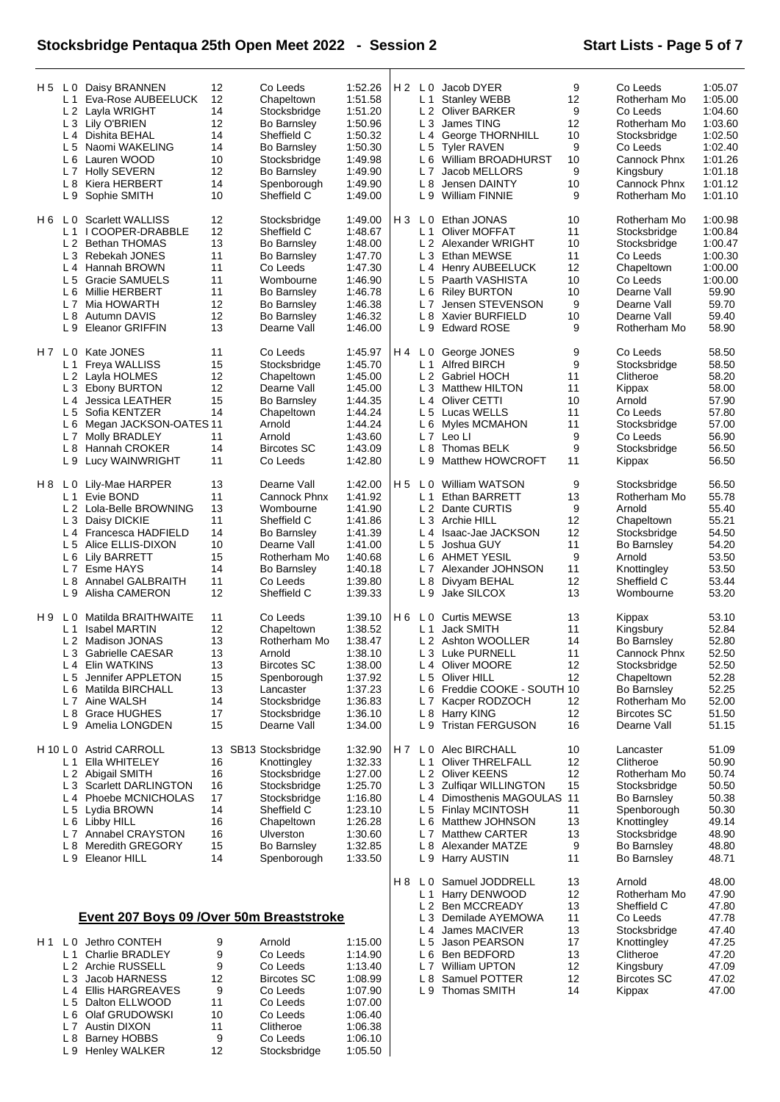### **Stocksbridge Pentaqua 25th Open Meet 2022 - Session 2 Start Lists - Page 5 of 7**

L 4 James MACIVER 13 Stocksbridge 47.40 L 5 Jason PEARSON 17 Knottingley 47.25 L 6 Ben BEDFORD 13 Clitheroe 47.20 L 7 William UPTON 12 Kingsbury 47.09<br>
L 8 Samuel POTTER 12 Bircotes SC 47.02<br>
L 9 Thomas SMITH 14 Kippax 47.00 L 8 Samuel POTTER 12 Bircotes SC 47.02 L 9 Thomas SMITH 14 Kippax 47.00

| H 5 | $L_1$                 | L 0 Daisy BRANNEN<br>Eva-Rose AUBEELUCK<br>L 2 Layla WRIGHT<br>L 3 Lily O'BRIEN<br>L 4 Dishita BEHAL | 12<br>12<br>14<br>12<br>14 | Co Leeds<br>Chapeltown<br>Stocksbridge<br><b>Bo Barnsley</b><br>Sheffield C | 1:52.26<br>1:51.58<br>1:51.20<br>1:50.96<br>1:50.32 |                | L <sub>1</sub><br>L4  | H 2 L 0 Jacob DYER<br><b>Stanley WEBB</b><br>L 2 Oliver BARKER<br>L 3 James TING<br>George THORNHILL | 9<br>12<br>9<br>12<br>10 | Co Leeds<br>Rotherham Mo<br>Co Leeds<br>Rotherham Mo<br>Stocksbridge | 1:05.07<br>1:05.00<br>1:04.60<br>1:03.60<br>1:02.50 |
|-----|-----------------------|------------------------------------------------------------------------------------------------------|----------------------------|-----------------------------------------------------------------------------|-----------------------------------------------------|----------------|-----------------------|------------------------------------------------------------------------------------------------------|--------------------------|----------------------------------------------------------------------|-----------------------------------------------------|
|     |                       | L 5 Naomi WAKELING<br>Lauren WOOD                                                                    | 14<br>10                   | <b>Bo Barnsley</b>                                                          | 1:50.30                                             |                | L <sub>6</sub>        | L 5 Tyler RAVEN                                                                                      | 9<br>10                  | Co Leeds<br>Cannock Phnx                                             | 1:02.40<br>1:01.26                                  |
|     | L 6                   | L 7 Holly SEVERN                                                                                     | 12                         | Stocksbridge<br>Bo Barnsley                                                 | 1:49.98<br>1:49.90                                  |                |                       | William BROADHURST<br>L 7 Jacob MELLORS                                                              | 9                        | Kingsbury                                                            | 1:01.18                                             |
|     | L <sub>8</sub>        | Kiera HERBERT                                                                                        | 14                         | Spenborough                                                                 | 1:49.90                                             |                | L 8                   | Jensen DAINTY                                                                                        | 10                       | Cannock Phnx                                                         | 1:01.12                                             |
|     |                       | L 9 Sophie SMITH                                                                                     | 10                         | Sheffield C                                                                 | 1:49.00                                             |                |                       | L 9 William FINNIE                                                                                   | 9                        | Rotherham Mo                                                         | 1:01.10                                             |
|     |                       | H 6 L 0 Scarlett WALLISS<br>I COOPER-DRABBLE                                                         | 12<br>12                   | Stocksbridge<br>Sheffield C                                                 | 1:49.00<br>1:48.67                                  | H <sub>3</sub> | L <sub>1</sub>        | L 0 Ethan JONAS                                                                                      | 10<br>11                 | Rotherham Mo                                                         | 1:00.98                                             |
|     | L 1                   | L 2 Bethan THOMAS                                                                                    | 13                         | <b>Bo Barnsley</b>                                                          | 1:48.00                                             |                |                       | Oliver MOFFAT<br>L 2 Alexander WRIGHT                                                                | 10                       | Stocksbridge<br>Stocksbridge                                         | 1:00.84<br>1:00.47                                  |
|     |                       | L 3 Rebekah JONES                                                                                    | 11                         | <b>Bo Barnsley</b>                                                          | 1:47.70                                             |                |                       | L 3 Ethan MEWSE                                                                                      | 11                       | Co Leeds                                                             | 1:00.30                                             |
|     |                       | L <sub>4</sub> Hannah BROWN                                                                          | 11                         | Co Leeds                                                                    | 1:47.30                                             |                |                       | L 4 Henry AUBEELUCK                                                                                  | 12                       | Chapeltown                                                           | 1:00.00                                             |
|     | L <sub>5</sub>        | Gracie SAMUELS                                                                                       | 11                         | Wombourne                                                                   | 1:46.90                                             |                | L <sub>5</sub>        | Paarth VASHISTA                                                                                      | 10                       | Co Leeds                                                             | 1:00.00                                             |
|     | L <sub>6</sub>        | Millie HERBERT<br>L 7 Mia HOWARTH                                                                    | 11<br>12                   | <b>Bo Barnsley</b><br><b>Bo Barnsley</b>                                    | 1:46.78<br>1:46.38                                  |                | L <sub>6</sub>        | <b>Riley BURTON</b><br>L 7 Jensen STEVENSON                                                          | 10<br>9                  | Dearne Vall<br>Dearne Vall                                           | 59.90<br>59.70                                      |
|     | L <sub>8</sub>        | Autumn DAVIS                                                                                         | 12                         | <b>Bo Barnsley</b>                                                          | 1:46.32                                             |                | L 8                   | Xavier BURFIELD                                                                                      | 10                       | Dearne Vall                                                          | 59.40                                               |
|     | L9                    | <b>Eleanor GRIFFIN</b>                                                                               | 13                         | Dearne Vall                                                                 | 1:46.00                                             |                |                       | L 9 Edward ROSE                                                                                      | 9                        | Rotherham Mo                                                         | 58.90                                               |
|     |                       | H 7 L 0 Kate JONES                                                                                   | 11                         | Co Leeds                                                                    | 1:45.97                                             | H 4            |                       | L 0 George JONES                                                                                     | 9                        | Co Leeds                                                             | 58.50                                               |
|     | L <sub>1</sub>        | Freya WALLISS<br>L 2 Layla HOLMES                                                                    | 15<br>12                   | Stocksbridge<br>Chapeltown                                                  | 1:45.70<br>1:45.00                                  |                | L <sub>1</sub>        | Alfred BIRCH<br>L 2 Gabriel HOCH                                                                     | 9<br>11                  | Stocksbridge<br>Clitheroe                                            | 58.50<br>58.20                                      |
|     |                       | L 3 Ebony BURTON                                                                                     | 12                         | Dearne Vall                                                                 | 1:45.00                                             |                | L <sub>3</sub>        | <b>Matthew HILTON</b>                                                                                | 11                       | Kippax                                                               | 58.00                                               |
|     |                       | L 4 Jessica LEATHER                                                                                  | 15                         | <b>Bo Barnsley</b>                                                          | 1:44.35                                             |                |                       | L <sub>4</sub> Oliver CETTI                                                                          | 10                       | Arnold                                                               | 57.90                                               |
|     | L <sub>5</sub>        | Sofia KENTZER                                                                                        | 14                         | Chapeltown                                                                  | 1:44.24                                             |                |                       | L 5 Lucas WELLS                                                                                      | 11                       | Co Leeds                                                             | 57.80                                               |
|     | L 6                   | Megan JACKSON-OATES 11                                                                               |                            | Arnold                                                                      | 1:44.24                                             |                | L <sub>6</sub>        | Myles MCMAHON                                                                                        | 11                       | Stocksbridge                                                         | 57.00                                               |
|     | L8                    | L 7 Molly BRADLEY<br><b>Hannah CROKER</b>                                                            | 11<br>14                   | Arnold<br><b>Bircotes SC</b>                                                | 1:43.60<br>1:43.09                                  |                | L <sub>8</sub>        | L 7 Leo LI<br>Thomas BELK                                                                            | 9<br>9                   | Co Leeds<br>Stocksbridge                                             | 56.90<br>56.50                                      |
|     |                       | L 9 Lucy WAINWRIGHT                                                                                  | 11                         | Co Leeds                                                                    | 1:42.80                                             |                | L 9                   | Matthew HOWCROFT                                                                                     | 11                       | Kippax                                                               | 56.50                                               |
| H 8 | L 0                   | Lily-Mae HARPER                                                                                      | 13                         | Dearne Vall                                                                 | 1:42.00                                             | H <sub>5</sub> |                       | L 0 William WATSON                                                                                   | 9                        | Stocksbridge                                                         | 56.50                                               |
|     |                       | L <sub>1</sub> Evie BOND                                                                             | 11                         | Cannock Phnx                                                                | 1:41.92                                             |                | L <sub>1</sub>        | Ethan BARRETT                                                                                        | 13                       | Rotherham Mo                                                         | 55.78                                               |
|     | L <sub>3</sub>        | L 2 Lola-Belle BROWNING<br>Daisy DICKIE                                                              | 13<br>11                   | Wombourne<br>Sheffield C                                                    | 1:41.90<br>1:41.86                                  |                |                       | L 2 Dante CURTIS<br>L 3 Archie HILL                                                                  | 9<br>12                  | Arnold<br>Chapeltown                                                 | 55.40<br>55.21                                      |
|     |                       | L 4 Francesca HADFIELD                                                                               | 14                         | <b>Bo Barnsley</b>                                                          | 1:41.39                                             |                |                       | L 4 Isaac-Jae JACKSON                                                                                | 12                       | Stocksbridge                                                         | 54.50                                               |
|     | L <sub>5</sub>        | Alice ELLIS-DIXON                                                                                    | 10                         | Dearne Vall                                                                 | 1:41.00                                             |                | L <sub>5</sub>        | Joshua GUY                                                                                           | 11                       | Bo Barnsley                                                          | 54.20                                               |
|     |                       | L 6 Lily BARRETT                                                                                     | 15                         | Rotherham Mo                                                                | 1:40.68                                             |                |                       | L 6 AHMET YESIL                                                                                      | 9                        | Arnold                                                               | 53.50                                               |
|     |                       | L 7 Esme HAYS                                                                                        | 14                         | <b>Bo Barnsley</b>                                                          | 1:40.18                                             |                | L <sub>7</sub>        | Alexander JOHNSON                                                                                    | 11                       | Knottingley                                                          | 53.50                                               |
|     | L <sub>9</sub>        | L 8 Annabel GALBRAITH<br>Alisha CAMERON                                                              | 11<br>12                   | Co Leeds<br>Sheffield C                                                     | 1:39.80<br>1:39.33                                  |                | L <sub>8</sub><br>L 9 | Divyam BEHAL<br>Jake SILCOX                                                                          | 12<br>13                 | Sheffield C<br>Wombourne                                             | 53.44<br>53.20                                      |
| H 9 | L <sub>0</sub>        | Matilda BRAITHWAITE                                                                                  | 11                         | Co Leeds                                                                    | 1:39.10                                             | H 6            |                       | L 0 Curtis MEWSE                                                                                     | 13                       | Kippax                                                               | 53.10                                               |
|     | L <sub>1</sub>        | <b>Isabel MARTIN</b>                                                                                 | $12 \overline{ }$          | Chapeltown                                                                  | 1:38.52                                             |                |                       | L 1 Jack SMITH                                                                                       | 11                       | Kingsbury                                                            | 52.84                                               |
|     | L <sub>2</sub>        | Madison JONAS                                                                                        | 13                         | Rotherham Mo                                                                | 1:38.47                                             |                | L <sub>2</sub>        | Ashton WOOLLER                                                                                       | 14                       | <b>Bo Barnsley</b>                                                   | 52.80                                               |
|     |                       | L 3 Gabrielle CAESAR                                                                                 | 13                         | Arnold                                                                      | 1:38.10                                             |                |                       | L 3 Luke PURNELL                                                                                     | 11                       | Cannock Phnx                                                         | 52.50                                               |
|     | L 4<br>L <sub>5</sub> | Elin WATKINS<br>Jennifer APPLETON                                                                    | 13<br>15                   | Bircotes SC<br>Spenborough                                                  | 1:38.00<br>1:37.92                                  |                | L4<br>L <sub>5</sub>  | Oliver MOORE<br>Oliver HILL                                                                          | 12<br>12                 | Stocksbridge<br>Chapeltown                                           | 52.50<br>52.28                                      |
|     | L 6                   | Matilda BIRCHALL                                                                                     | 13                         | Lancaster                                                                   | 1:37.23                                             |                | L 6                   | Freddie COOKE - SOUTH 10                                                                             |                          | <b>Bo Barnsley</b>                                                   | 52.25                                               |
|     |                       | L 7 Aine WALSH                                                                                       | 14                         | Stocksbridge                                                                | 1:36.83                                             |                | L7                    | Kacper RODZOCH                                                                                       | 12                       | Rotherham Mo                                                         | 52.00                                               |
|     | L8                    | <b>Grace HUGHES</b>                                                                                  | 17                         | Stocksbridge                                                                | 1:36.10                                             |                |                       | L 8 Harry KING                                                                                       | 12                       | <b>Bircotes SC</b>                                                   | 51.50                                               |
|     | L <sub>9</sub>        | Amelia LONGDEN                                                                                       | 15                         | Dearne Vall                                                                 | 1:34.00                                             |                | L9                    | <b>Tristan FERGUSON</b>                                                                              | 16                       | Dearne Vall                                                          | 51.15                                               |
|     | H 10 L 0<br>L 1       | <b>Astrid CARROLL</b><br>Ella WHITELEY                                                               | 13<br>16                   | SB13 Stocksbridge<br>Knottingley                                            | 1:32.90<br>1:32.33                                  | H 7            | L1                    | L 0 Alec BIRCHALL<br><b>Oliver THRELFALL</b>                                                         | 10<br>12                 | Lancaster<br>Clitheroe                                               | 51.09<br>50.90                                      |
|     |                       | L 2 Abigail SMITH                                                                                    | 16                         | Stocksbridge                                                                | 1:27.00                                             |                |                       | L 2 Oliver KEENS                                                                                     | 12                       | Rotherham Mo                                                         | 50.74                                               |
|     |                       | L 3 Scarlett DARLINGTON                                                                              | 16                         | Stocksbridge                                                                | 1:25.70                                             |                |                       | L 3 Zulfigar WILLINGTON                                                                              | 15                       | Stocksbridge                                                         | 50.50                                               |
|     |                       | L 4 Phoebe MCNICHOLAS                                                                                | 17                         | Stocksbridge                                                                | 1:16.80                                             |                | L4                    | Dimosthenis MAGOULAS                                                                                 | 11                       | Bo Barnsley                                                          | 50.38                                               |
|     |                       | L 5 Lydia BROWN                                                                                      | 14                         | Sheffield C                                                                 | 1:23.10                                             |                | L <sub>5</sub>        | <b>Finlay MCINTOSH</b>                                                                               | 11                       | Spenborough                                                          | 50.30                                               |
|     |                       | L 6 Libby HILL                                                                                       | 16                         | Chapeltown                                                                  | 1:26.28                                             |                | L 6                   | Matthew JOHNSON                                                                                      | 13                       | Knottingley                                                          | 49.14                                               |
|     | L 8                   | L7 Annabel CRAYSTON<br><b>Meredith GREGORY</b>                                                       | 16<br>15                   | Ulverston<br><b>Bo Barnsley</b>                                             | 1:30.60<br>1:32.85                                  |                | L <sub>7</sub><br>L 8 | <b>Matthew CARTER</b><br>Alexander MATZE                                                             | 13<br>9                  | Stocksbridge<br><b>Bo Barnsley</b>                                   | 48.90<br>48.80                                      |
|     | L 9                   | Eleanor HILL                                                                                         | 14                         | Spenborough                                                                 | 1:33.50                                             |                | L9                    | Harry AUSTIN                                                                                         | 11                       | <b>Bo Barnsley</b>                                                   | 48.71                                               |
|     |                       |                                                                                                      |                            |                                                                             |                                                     | H 8            | L <sub>0</sub>        | Samuel JODDRELL                                                                                      | 13                       | Arnold                                                               | 48.00                                               |
|     |                       |                                                                                                      |                            |                                                                             |                                                     |                | L <sub>1</sub>        | Harry DENWOOD<br>L 2 Ben MCCREADY                                                                    | 12<br>13                 | Rotherham Mo<br>Sheffield C                                          | 47.90                                               |
|     |                       | Event 207 Boys 09 / Over 50m Breaststroke                                                            |                            |                                                                             |                                                     |                |                       | L 3 Demilade AYEMOWA                                                                                 | 11                       | Co Leeds                                                             | 47.80<br>47.78                                      |
|     |                       |                                                                                                      |                            |                                                                             |                                                     |                |                       |                                                                                                      |                          |                                                                      |                                                     |

### **Event 207 Boys 09 /Over 50m Breaststroke**

|  | H <sub>1</sub> L <sub>0</sub> Jethro CONTEH | 9  | Arnold             | 1:15.00 |
|--|---------------------------------------------|----|--------------------|---------|
|  | L 1 Charlie BRADLEY                         | 9  | Co Leeds           | 1:14.90 |
|  | L <sub>2</sub> Archie RUSSELL               | 9  | Co Leeds           | 1:13.40 |
|  | L 3 Jacob HARNESS                           | 12 | <b>Bircotes SC</b> | 1:08.99 |
|  | L 4 Ellis HARGREAVES                        | 9  | Co Leeds           | 1:07.90 |
|  | L 5 Dalton ELLWOOD                          | 11 | Co Leeds           | 1:07.00 |
|  | L6 Olaf GRUDOWSKI                           | 10 | Co Leeds           | 1:06.40 |
|  | L 7 Austin DIXON                            | 11 | Clitheroe          | 1:06.38 |
|  | L 8 Barney HOBBS                            | 9  | Co Leeds           | 1:06.10 |
|  | L 9 Henley WALKER                           | 12 | Stocksbridge       | 1:05.50 |
|  |                                             |    |                    |         |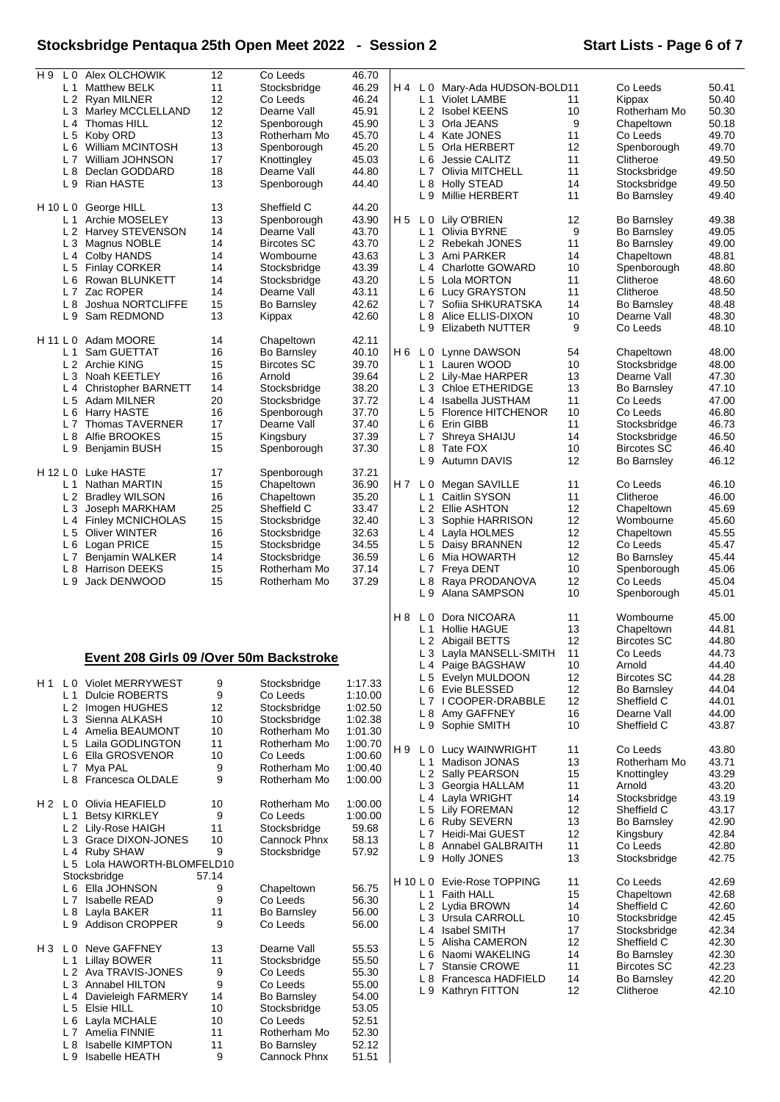# **Stocksbridge Pentaqua 25th Open Meet 2022 - Session 2 Start Lists - Page 6 of 7**

|          | Alex OLCHOWIK<br>L 0                     | 12    | Co Leeds           | 46.70   |                |                |                                 |    |                    |       |
|----------|------------------------------------------|-------|--------------------|---------|----------------|----------------|---------------------------------|----|--------------------|-------|
| H9       |                                          |       |                    |         |                |                |                                 |    |                    |       |
|          | L <sub>1</sub><br><b>Matthew BELK</b>    | 11    | Stocksbridge       | 46.29   | H 4            |                | L 0 Mary-Ada HUDSON-BOLD11      |    | Co Leeds           | 50.41 |
|          | L 2 Ryan MILNER                          | 12    | Co Leeds           | 46.24   |                |                | L 1 Violet LAMBE                | 11 | Kippax             | 50.40 |
|          | L3<br>Marley MCCLELLAND                  | 12    | Dearne Vall        | 45.91   |                |                | L 2 Isobel KEENS                | 10 | Rotherham Mo       | 50.30 |
|          | L 4 Thomas HILL                          | 12    | Spenborough        | 45.90   |                |                | L 3 Orla JEANS                  | 9  | Chapeltown         | 50.18 |
|          | L 5<br>Koby ORD                          | 13    | Rotherham Mo       | 45.70   |                |                | L 4 Kate JONES                  | 11 | Co Leeds           | 49.70 |
|          |                                          |       |                    |         |                |                |                                 |    |                    |       |
|          | L 6 William MCINTOSH                     | 13    | Spenborough        | 45.20   |                |                | L 5 Orla HERBERT                | 12 | Spenborough        | 49.70 |
|          | L 7 William JOHNSON                      | 17    | Knottingley        | 45.03   |                |                | L 6 Jessie CALITZ               | 11 | Clitheroe          | 49.50 |
|          | L 8 Declan GODDARD                       | 18    | Dearne Vall        | 44.80   |                |                | L 7 Olivia MITCHELL             | 11 | Stocksbridge       | 49.50 |
|          | L 9 Rian HASTE                           | 13    |                    | 44.40   |                |                | L 8 Holly STEAD                 | 14 | Stocksbridge       | 49.50 |
|          |                                          |       | Spenborough        |         |                |                |                                 |    |                    |       |
|          |                                          |       |                    |         |                |                | L 9 Millie HERBERT              | 11 | <b>Bo Barnsley</b> | 49.40 |
| H 10 L 0 | George HILL                              | 13    | Sheffield C        | 44.20   |                |                |                                 |    |                    |       |
|          | Archie MOSELEY<br>L 1                    | 13    | Spenborough        | 43.90   | H 5            |                | L 0 Lily O'BRIEN                | 12 | <b>Bo Barnsley</b> | 49.38 |
|          | L 2 Harvey STEVENSON                     | 14    | Dearne Vall        | 43.70   |                | L 1            | Olivia BYRNE                    | 9  | <b>Bo Barnsley</b> | 49.05 |
|          | L 3 Magnus NOBLE                         | 14    | <b>Bircotes SC</b> | 43.70   |                |                | L 2 Rebekah JONES               | 11 | <b>Bo Barnsley</b> | 49.00 |
|          |                                          |       |                    |         |                |                |                                 |    |                    |       |
|          | L 4 Colby HANDS                          | 14    | Wombourne          | 43.63   |                |                | L 3 Ami PARKER                  | 14 | Chapeltown         | 48.81 |
|          | L 5<br><b>Finlay CORKER</b>              | 14    | Stocksbridge       | 43.39   |                |                | L <sub>4</sub> Charlotte GOWARD | 10 | Spenborough        | 48.80 |
|          | L 6 Rowan BLUNKETT                       | 14    | Stocksbridge       | 43.20   |                |                | L 5 Lola MORTON                 | 11 | Clitheroe          | 48.60 |
|          |                                          |       |                    |         |                |                |                                 |    |                    |       |
|          | L 7 Zac ROPER                            | 14    | Dearne Vall        | 43.11   |                |                | L 6 Lucy GRAYSTON               | 11 | Clitheroe          | 48.50 |
|          | Joshua NORTCLIFFE<br>L 8                 | 15    | <b>Bo Barnsley</b> | 42.62   |                |                | L 7 Sofiia SHKURATSKA           | 14 | <b>Bo Barnsley</b> | 48.48 |
|          | L9<br>Sam REDMOND                        | 13    | Kippax             | 42.60   |                | L8             | Alice ELLIS-DIXON               | 10 | Dearne Vall        | 48.30 |
|          |                                          |       |                    |         |                |                | L 9 Elizabeth NUTTER            | 9  | Co Leeds           | 48.10 |
|          |                                          |       |                    |         |                |                |                                 |    |                    |       |
| H 11 L 0 | Adam MOORE                               | 14    | Chapeltown         | 42.11   |                |                |                                 |    |                    |       |
|          | Sam GUETTAT<br>L 1                       | 16    | <b>Bo Barnsley</b> | 40.10   | H 6            |                | L 0 Lynne DAWSON                | 54 | Chapeltown         | 48.00 |
|          | L 2 Archie KING                          | 15    | <b>Bircotes SC</b> | 39.70   |                |                | L 1 Lauren WOOD                 | 10 | Stocksbridge       | 48.00 |
|          |                                          |       |                    |         |                |                |                                 |    |                    | 47.30 |
|          | L 3 Noah KEETLEY                         | 16    | Arnold             | 39.64   |                |                | L 2 Lily-Mae HARPER             | 13 | Dearne Vall        |       |
|          | L 4 Christopher BARNETT                  | 14    | Stocksbridge       | 38.20   |                |                | L 3 Chloe ETHERIDGE             | 13 | <b>Bo Barnsley</b> | 47.10 |
|          | L 5 Adam MILNER                          | 20    | Stocksbridge       | 37.72   |                |                | L 4 Isabella JUSTHAM            | 11 | Co Leeds           | 47.00 |
|          | L 6 Harry HASTE                          | 16    | Spenborough        | 37.70   |                |                | L 5 Florence HITCHENOR          | 10 | Co Leeds           | 46.80 |
|          |                                          |       |                    |         |                |                |                                 |    |                    |       |
|          | L 7 Thomas TAVERNER                      | 17    | Dearne Vall        | 37.40   |                |                | L 6 Erin GIBB                   | 11 | Stocksbridge       | 46.73 |
|          | L 8<br>Alfie BROOKES                     | 15    | Kingsbury          | 37.39   |                |                | L 7 Shreya SHAIJU               | 14 | Stocksbridge       | 46.50 |
|          | L <sub>9</sub><br>Benjamin BUSH          | 15    | Spenborough        | 37.30   |                | L 8            | Tate FOX                        | 10 | <b>Bircotes SC</b> | 46.40 |
|          |                                          |       |                    |         |                |                |                                 |    |                    |       |
|          |                                          |       |                    |         |                |                | L 9 Autumn DAVIS                | 12 | <b>Bo Barnsley</b> | 46.12 |
| H 12 L 0 | Luke HASTE                               | 17    | Spenborough        | 37.21   |                |                |                                 |    |                    |       |
|          | L 1<br>Nathan MARTIN                     | 15    | Chapeltown         | 36.90   |                |                | H7 L0 Megan SAVILLE             | 11 | Co Leeds           | 46.10 |
|          | L 2 Bradley WILSON                       | 16    | Chapeltown         | 35.20   |                | L1             | Caitlin SYSON                   | 11 | Clitheroe          | 46.00 |
|          | L 3 Joseph MARKHAM                       | 25    | Sheffield C        | 33.47   |                |                | L 2 Ellie ASHTON                | 12 | Chapeltown         | 45.69 |
|          |                                          |       |                    |         |                |                |                                 |    |                    |       |
|          | L 4 Finley MCNICHOLAS                    | 15    | Stocksbridge       | 32.40   |                |                | L 3 Sophie HARRISON             | 12 | Wombourne          | 45.60 |
|          | L 5 Oliver WINTER                        | 16    | Stocksbridge       | 32.63   |                |                | L 4 Layla HOLMES                | 12 | Chapeltown         | 45.55 |
|          | L 6 Logan PRICE                          | 15    | Stocksbridge       | 34.55   |                |                | L 5 Daisy BRANNEN               | 12 | Co Leeds           | 45.47 |
|          |                                          |       |                    |         |                |                |                                 |    |                    |       |
|          | L 7 Benjamin WALKER                      | 14    | Stocksbridge       | 36.59   |                |                | L 6 Mia HOWARTH                 | 12 | Bo Barnsley        | 45.44 |
|          | L 8<br><b>Harrison DEEKS</b>             | 15    | Rotherham Mo       | 37.14   |                | L 7            | Freya DENT                      | 10 | Spenborough        | 45.06 |
|          | Jack DENWOOD<br>L 9                      |       |                    |         |                |                |                                 |    | Co Leeds           |       |
|          |                                          |       |                    |         |                |                |                                 |    |                    |       |
|          |                                          | 15    | Rotherham Mo       | 37.29   |                |                | L 8 Raya PRODANOVA              | 12 |                    | 45.04 |
|          |                                          |       |                    |         |                | L 9            | Alana SAMPSON                   | 10 | Spenborough        | 45.01 |
|          |                                          |       |                    |         |                |                |                                 |    |                    |       |
|          |                                          |       |                    |         | H <sub>8</sub> | L <sub>0</sub> | Dora NICOARA                    | 11 | Wombourne          | 45.00 |
|          |                                          |       |                    |         |                | L <sub>1</sub> | Hollie HAGUE                    | 13 | Chapeltown         | 44.81 |
|          |                                          |       |                    |         |                |                |                                 |    |                    |       |
|          |                                          |       |                    |         |                |                | L 2 Abigail BETTS               | 12 | <b>Bircotes SC</b> | 44.80 |
|          |                                          |       |                    |         |                |                | L 3 Layla MANSELL-SMITH         | 11 | Co Leeds           | 44.73 |
|          | Event 208 Girls 09 / Over 50m Backstroke |       |                    |         |                |                | L 4 Paige BAGSHAW               | 10 | Arnold             | 44.40 |
|          |                                          |       |                    |         |                |                | L 5 Evelyn MULDOON              | 12 | <b>Bircotes SC</b> | 44.28 |
| H 1      | L 0 Violet MERRYWEST                     | 9     | Stocksbridge       | 1:17.33 |                |                |                                 |    |                    |       |
|          | <b>Dulcie ROBERTS</b><br>$L_1$           | 9     | Co Leeds           | 1:10.00 |                |                | L 6 Evie BLESSED                | 12 | <b>Bo Barnsley</b> | 44.04 |
|          |                                          |       |                    |         |                |                | L7 I COOPER-DRABBLE             | 12 | Sheffield C        | 44.01 |
|          | L 2 Imogen HUGHES                        | 12    | Stocksbridge       | 1:02.50 |                |                | L 8 Amy GAFFNEY                 | 16 | Dearne Vall        | 44.00 |
|          | L 3 Sienna ALKASH                        | 10    | Stocksbridge       | 1:02.38 |                |                |                                 |    |                    |       |
|          | L 4 Amelia BEAUMONT                      | 10    | Rotherham Mo       | 1:01.30 |                |                | L 9 Sophie SMITH                | 10 | Sheffield C        | 43.87 |
|          | L 5 Laila GODLINGTON                     | 11    | Rotherham Mo       | 1:00.70 |                |                |                                 |    |                    |       |
|          |                                          |       |                    | 1:00.60 | H 9            |                | L 0 Lucy WAINWRIGHT             | 11 | Co Leeds           | 43.80 |
|          | L6 Ella GROSVENOR                        | 10    | Co Leeds           |         |                |                | L 1 Madison JONAS               | 13 | Rotherham Mo       | 43.71 |
|          | L 7 Mya PAL                              | 9     | Rotherham Mo       | 1:00.40 |                |                | L 2 Sally PEARSON               | 15 | Knottingley        | 43.29 |
|          | L 8 Francesca OLDALE                     | 9     | Rotherham Mo       | 1:00.00 |                |                |                                 |    |                    |       |
|          |                                          |       |                    |         |                |                | L 3 Georgia HALLAM              | 11 | Arnold             | 43.20 |
| $H2$ LO  |                                          |       |                    |         |                |                | L 4 Layla WRIGHT                | 14 | Stocksbridge       | 43.19 |
|          | Olivia HEAFIELD                          | 10    | Rotherham Mo       | 1:00.00 |                |                | L 5 Lily FOREMAN                | 12 | Sheffield C        | 43.17 |
|          | L 1<br><b>Betsy KIRKLEY</b>              | 9     | Co Leeds           | 1:00.00 |                |                |                                 |    |                    |       |
|          | L 2 Lily-Rose HAIGH                      | 11    | Stocksbridge       | 59.68   |                |                | L 6 Ruby SEVERN                 | 13 | <b>Bo Barnsley</b> | 42.90 |
|          |                                          |       |                    |         |                |                | L 7 Heidi-Mai GUEST             | 12 | Kingsbury          | 42.84 |
|          | L 3 Grace DIXON-JONES                    | 10    | Cannock Phnx       | 58.13   |                |                | L 8 Annabel GALBRAITH           | 11 | Co Leeds           | 42.80 |
|          | L 4 Ruby SHAW                            | 9     | Stocksbridge       | 57.92   |                |                | L 9 Holly JONES                 | 13 | Stocksbridge       | 42.75 |
|          | L 5 Lola HAWORTH-BLOMFELD10              |       |                    |         |                |                |                                 |    |                    |       |
|          | Stocksbridge                             | 57.14 |                    |         |                |                |                                 |    |                    |       |
|          | L 6 Ella JOHNSON                         | 9     | Chapeltown         | 56.75   |                |                | H 10 L 0 Evie-Rose TOPPING      | 11 | Co Leeds           | 42.69 |
|          |                                          |       |                    |         |                |                | L 1 Faith HALL                  | 15 | Chapeltown         | 42.68 |
|          | L 7 Isabelle READ                        | 9     | Co Leeds           | 56.30   |                |                | L 2 Lydia BROWN                 | 14 | Sheffield C        | 42.60 |
|          | L 8 Layla BAKER                          | 11    | <b>Bo Barnsley</b> | 56.00   |                |                |                                 |    |                    |       |
|          | L 9 Addison CROPPER                      | 9     | Co Leeds           | 56.00   |                |                | L 3 Ursula CARROLL              | 10 | Stocksbridge       | 42.45 |
|          |                                          |       |                    |         |                |                | L 4 Isabel SMITH                | 17 | Stocksbridge       | 42.34 |
|          |                                          |       |                    |         |                |                | L 5 Alisha CAMERON              | 12 | Sheffield C        | 42.30 |
|          | H3 L0 Neve GAFFNEY                       | 13    | Dearne Vall        | 55.53   |                |                |                                 |    |                    |       |
|          | L 1<br><b>Lillay BOWER</b>               | 11    | Stocksbridge       | 55.50   |                |                | L 6 Naomi WAKELING              | 14 | <b>Bo Barnsley</b> | 42.30 |
|          |                                          | 9     | Co Leeds           |         |                |                | L 7 Stansie CROWE               | 11 | <b>Bircotes SC</b> | 42.23 |
|          | L 2 Ava TRAVIS-JONES                     |       |                    | 55.30   |                |                | L 8 Francesca HADFIELD          | 14 | <b>Bo Barnsley</b> | 42.20 |
|          | L 3 Annabel HILTON                       | 9     | Co Leeds           | 55.00   |                |                |                                 | 12 | Clitheroe          | 42.10 |
|          | L 4 Davieleigh FARMERY                   | 14    | <b>Bo Barnsley</b> | 54.00   |                |                | L 9 Kathryn FITTON              |    |                    |       |
|          | L 5 Elsie HILL                           | 10    | Stocksbridge       |         |                |                |                                 |    |                    |       |
|          |                                          |       |                    | 53.05   |                |                |                                 |    |                    |       |
|          | L 6 Layla MCHALE                         | 10    | Co Leeds           | 52.51   |                |                |                                 |    |                    |       |
|          | L 7 Amelia FINNIE                        | 11    | Rotherham Mo       | 52.30   |                |                |                                 |    |                    |       |
|          | L 8<br>Isabelle KIMPTON                  | 11    | <b>Bo Barnsley</b> | 52.12   |                |                |                                 |    |                    |       |
|          | L 9 Isabelle HEATH                       | 9     | Cannock Phnx       | 51.51   |                |                |                                 |    |                    |       |